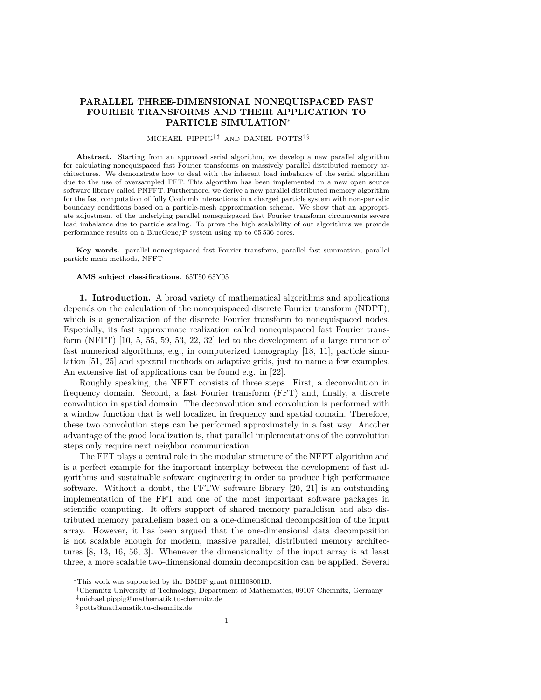## **PARALLEL THREE-DIMENSIONAL NONEQUISPACED FAST FOURIER TRANSFORMS AND THEIR APPLICATION TO PARTICLE SIMULATION**<sup>∗</sup>

## MICHAEL PIPPIG<sup>†‡</sup> AND DANIEL POTTS<sup>†§</sup>

**Abstract.** Starting from an approved serial algorithm, we develop a new parallel algorithm for calculating nonequispaced fast Fourier transforms on massively parallel distributed memory architectures. We demonstrate how to deal with the inherent load imbalance of the serial algorithm due to the use of oversampled FFT. This algorithm has been implemented in a new open source software library called PNFFT. Furthermore, we derive a new parallel distributed memory algorithm for the fast computation of fully Coulomb interactions in a charged particle system with non-periodic boundary conditions based on a particle-mesh approximation scheme. We show that an appropriate adjustment of the underlying parallel nonequispaced fast Fourier transform circumvents severe load imbalance due to particle scaling. To prove the high scalability of our algorithms we provide performance results on a BlueGene/P system using up to 65 536 cores.

**Key words.** parallel nonequispaced fast Fourier transform, parallel fast summation, parallel particle mesh methods, NFFT

## **AMS subject classifications.** 65T50 65Y05

**1. Introduction.** A broad variety of mathematical algorithms and applications depends on the calculation of the nonequispaced discrete Fourier transform (NDFT), which is a generalization of the discrete Fourier transform to nonequispaced nodes. Especially, its fast approximate realization called nonequispaced fast Fourier transform (NFFT)  $[10, 5, 55, 59, 53, 22, 32]$  $[10, 5, 55, 59, 53, 22, 32]$  $[10, 5, 55, 59, 53, 22, 32]$  $[10, 5, 55, 59, 53, 22, 32]$  $[10, 5, 55, 59, 53, 22, 32]$  $[10, 5, 55, 59, 53, 22, 32]$  $[10, 5, 55, 59, 53, 22, 32]$  $[10, 5, 55, 59, 53, 22, 32]$  $[10, 5, 55, 59, 53, 22, 32]$  $[10, 5, 55, 59, 53, 22, 32]$  $[10, 5, 55, 59, 53, 22, 32]$  $[10, 5, 55, 59, 53, 22, 32]$  $[10, 5, 55, 59, 53, 22, 32]$  led to the development of a large number of fast numerical algorithms, e.g., in computerized tomography [\[18,](#page-25-2) [11\]](#page-24-2), particle simulation [\[51,](#page-26-3) [25\]](#page-25-3) and spectral methods on adaptive grids, just to name a few examples. An extensive list of applications can be found e.g. in [\[22\]](#page-25-0).

Roughly speaking, the NFFT consists of three steps. First, a deconvolution in frequency domain. Second, a fast Fourier transform (FFT) and, finally, a discrete convolution in spatial domain. The deconvolution and convolution is performed with a window function that is well localized in frequency and spatial domain. Therefore, these two convolution steps can be performed approximately in a fast way. Another advantage of the good localization is, that parallel implementations of the convolution steps only require next neighbor communication.

The FFT plays a central role in the modular structure of the NFFT algorithm and is a perfect example for the important interplay between the development of fast algorithms and sustainable software engineering in order to produce high performance software. Without a doubt, the FFTW software library [\[20,](#page-25-4) [21\]](#page-25-5) is an outstanding implementation of the FFT and one of the most important software packages in scientific computing. It offers support of shared memory parallelism and also distributed memory parallelism based on a one-dimensional decomposition of the input array. However, it has been argued that the one-dimensional data decomposition is not scalable enough for modern, massive parallel, distributed memory architectures [\[8,](#page-24-3) [13,](#page-24-4) [16,](#page-24-5) [56,](#page-26-4) [3\]](#page-24-6). Whenever the dimensionality of the input array is at least three, a more scalable two-dimensional domain decomposition can be applied. Several

<sup>∗</sup>This work was supported by the BMBF grant 01IH08001B.

<sup>†</sup>Chemnitz University of Technology, Department of Mathematics, 09107 Chemnitz, Germany ‡michael.pippig@mathematik.tu-chemnitz.de

 $\S$ potts@mathematik.tu-chemnitz.de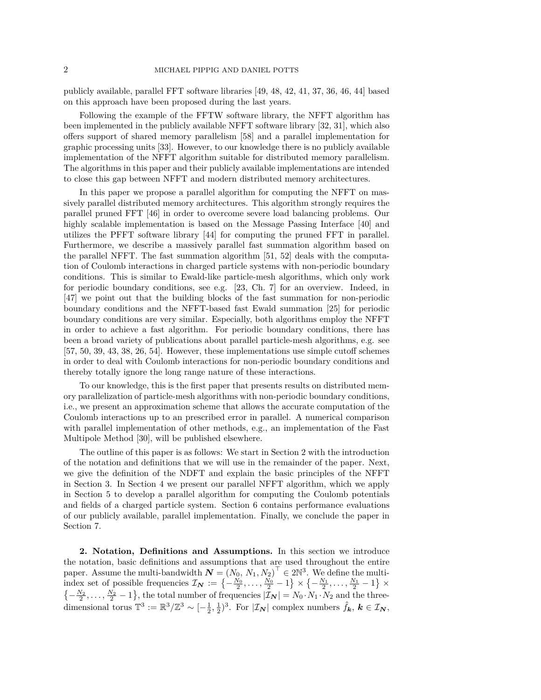publicly available, parallel FFT software libraries [\[49,](#page-26-5) [48,](#page-26-6) [42,](#page-25-6) [41,](#page-25-7) [37,](#page-25-8) [36,](#page-25-9) [46,](#page-26-7) [44\]](#page-25-10) based on this approach have been proposed during the last years.

Following the example of the FFTW software library, the NFFT algorithm has been implemented in the publicly available NFFT software library [\[32,](#page-25-1) [31\]](#page-25-11), which also offers support of shared memory parallelism [\[58\]](#page-26-8) and a parallel implementation for graphic processing units [\[33\]](#page-25-12). However, to our knowledge there is no publicly available implementation of the NFFT algorithm suitable for distributed memory parallelism. The algorithms in this paper and their publicly available implementations are intended to close this gap between NFFT and modern distributed memory architectures.

In this paper we propose a parallel algorithm for computing the NFFT on massively parallel distributed memory architectures. This algorithm strongly requires the parallel pruned FFT [\[46\]](#page-26-7) in order to overcome severe load balancing problems. Our highly scalable implementation is based on the Message Passing Interface [\[40\]](#page-25-13) and utilizes the PFFT software library [\[44\]](#page-25-10) for computing the pruned FFT in parallel. Furthermore, we describe a massively parallel fast summation algorithm based on the parallel NFFT. The fast summation algorithm [\[51,](#page-26-3) [52\]](#page-26-9) deals with the computation of Coulomb interactions in charged particle systems with non-periodic boundary conditions. This is similar to Ewald-like particle-mesh algorithms, which only work for periodic boundary conditions, see e.g. [\[23,](#page-25-14) Ch. 7] for an overview. Indeed, in [\[47\]](#page-26-10) we point out that the building blocks of the fast summation for non-periodic boundary conditions and the NFFT-based fast Ewald summation [\[25\]](#page-25-3) for periodic boundary conditions are very similar. Especially, both algorithms employ the NFFT in order to achieve a fast algorithm. For periodic boundary conditions, there has been a broad variety of publications about parallel particle-mesh algorithms, e.g. see [\[57,](#page-26-11) [50,](#page-26-12) [39,](#page-25-15) [43,](#page-25-16) [38,](#page-25-17) [26,](#page-25-18) [54\]](#page-26-13). However, these implementations use simple cutoff schemes in order to deal with Coulomb interactions for non-periodic boundary conditions and thereby totally ignore the long range nature of these interactions.

To our knowledge, this is the first paper that presents results on distributed memory parallelization of particle-mesh algorithms with non-periodic boundary conditions, i.e., we present an approximation scheme that allows the accurate computation of the Coulomb interactions up to an prescribed error in parallel. A numerical comparison with parallel implementation of other methods, e.g., an implementation of the Fast Multipole Method [\[30\]](#page-25-19), will be published elsewhere.

The outline of this paper is as follows: We start in Section [2](#page-1-0) with the introduction of the notation and definitions that we will use in the remainder of the paper. Next, we give the definition of the NDFT and explain the basic principles of the NFFT in Section [3.](#page-3-0) In Section [4](#page-5-0) we present our parallel NFFT algorithm, which we apply in Section [5](#page-11-0) to develop a parallel algorithm for computing the Coulomb potentials and fields of a charged particle system. Section [6](#page-15-0) contains performance evaluations of our publicly available, parallel implementation. Finally, we conclude the paper in Section [7.](#page-22-0)

<span id="page-1-0"></span>**2. Notation, Definitions and Assumptions.** In this section we introduce the notation, basic definitions and assumptions that are used throughout the entire paper. Assume the multi-bandwidth  $N = (N_0, N_1, N_2)^\top \in 2\mathbb{N}^3$ . We define the multiindex set of possible frequencies  $\mathcal{I}_N := \left\{-\frac{N_0}{2}, \ldots, \frac{N_0}{2} - 1\right\} \times \left\{-\frac{N_1}{2}, \ldots, \frac{N_1}{2} - 1\right\} \times$  $\{-\frac{N_2}{2}, \ldots, \frac{N_2}{2} - 1\}$ , the total number of frequencies  $|\mathcal{I}_{N}| = N_0 \cdot N_1 \cdot N_2$  and the threedimensional torus  $\mathbb{T}^3 := \mathbb{R}^3 / \mathbb{Z}^3 \sim [-\frac{1}{2}, \frac{1}{2})^3$ . For  $|\mathcal{I}_N|$  complex numbers  $\hat{f}_k, k \in \mathcal{I}_N$ ,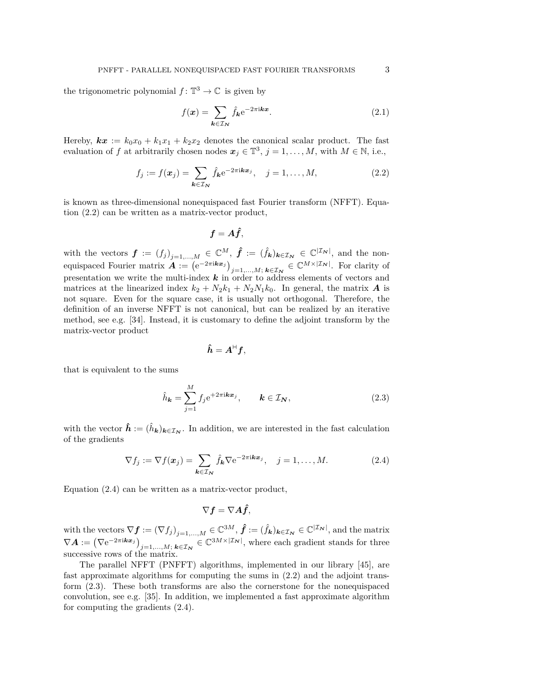the trigonometric polynomial  $f: \mathbb{T}^3 \to \mathbb{C}$  is given by

<span id="page-2-3"></span>
$$
f(\mathbf{x}) = \sum_{\mathbf{k} \in \mathcal{I}_N} \hat{f}_{\mathbf{k}} e^{-2\pi i \mathbf{k} \mathbf{x}}.
$$
 (2.1)

Hereby,  $kx := k_0x_0 + k_1x_1 + k_2x_2$  denotes the canonical scalar product. The fast evaluation of *f* at arbitrarily chosen nodes  $x_j \in \mathbb{T}^3$ ,  $j = 1, ..., M$ , with  $M \in \mathbb{N}$ , i.e.,

<span id="page-2-0"></span>
$$
f_j := f(\boldsymbol{x}_j) = \sum_{\boldsymbol{k} \in \mathcal{I}_N} \hat{f}_{\boldsymbol{k}} e^{-2\pi i \boldsymbol{k} \boldsymbol{x}_j}, \quad j = 1, \dots, M,
$$
\n(2.2)

is known as three-dimensional nonequispaced fast Fourier transform (NFFT). Equation [\(2.2\)](#page-2-0) can be written as a matrix-vector product,

$$
\boldsymbol{f}=\boldsymbol{A}\boldsymbol{\hat{f}},
$$

with the vectors  $\boldsymbol{f} := (f_j)_{j=1,\ldots,M} \in \mathbb{C}^M$ ,  $\hat{\boldsymbol{f}} := (\hat{f}_{\boldsymbol{k}})_{\boldsymbol{k} \in \mathcal{I}_{\boldsymbol{N}}} \in \mathbb{C}^{|\mathcal{I}_{\boldsymbol{N}}|}$ , and the nonequispaced Fourier matrix  $\boldsymbol{A} := (e^{-2\pi i \boldsymbol{k} \boldsymbol{x}_j})_{j=1,\ldots,M;\ \boldsymbol{k} \in \mathcal{I}_{\boldsymbol{N}}} \in \mathbb{C}^{M \times |\mathcal{I}_{\boldsymbol{N}}|}$ . For clarity of presentation we write the multi-index *k* in order to address elements of vectors and matrices at the linearized index  $k_2 + N_2k_1 + N_2N_1k_0$ . In general, the matrix *A* is not square. Even for the square case, it is usually not orthogonal. Therefore, the definition of an inverse NFFT is not canonical, but can be realized by an iterative method, see e.g. [\[34\]](#page-25-20). Instead, it is customary to define the adjoint transform by the matrix-vector product

$$
\boldsymbol{\hat{h}} = \boldsymbol{A}^\text{H} \boldsymbol{f},
$$

that is equivalent to the sums

<span id="page-2-2"></span>
$$
\hat{h}_{\mathbf{k}} = \sum_{j=1}^{M} f_j e^{+2\pi i \mathbf{k} \mathbf{x}_j}, \qquad \mathbf{k} \in \mathcal{I}_{\mathbf{N}},
$$
\n(2.3)

with the vector  $\hat{\mathbf{h}} := (\hat{h}_{\mathbf{k}})_{\mathbf{k} \in \mathcal{I}_{\mathbf{N}}}$ . In addition, we are interested in the fast calculation of the gradients

<span id="page-2-1"></span>
$$
\nabla f_j := \nabla f(\boldsymbol{x}_j) = \sum_{\boldsymbol{k} \in \mathcal{I}_N} \hat{f}_{\boldsymbol{k}} \nabla e^{-2\pi i \boldsymbol{k} \boldsymbol{x}_j}, \quad j = 1, \dots, M. \tag{2.4}
$$

Equation [\(2.4\)](#page-2-1) can be written as a matrix-vector product,

$$
\nabla \boldsymbol{f} = \nabla \boldsymbol{A} \hat{\boldsymbol{f}},
$$

with the vectors  $\nabla \mathbf{f} := (\nabla f_j)_{j=1,\ldots,M} \in \mathbb{C}^{3M}, \hat{\mathbf{f}} := (\hat{f}_{\mathbf{k}})_{\mathbf{k} \in \mathcal{I}_{\mathbf{N}}} \in \mathbb{C}^{|\mathcal{I}_{\mathbf{N}}|}$ , and the matrix  $\nabla A := (\nabla e^{-2\pi i \mathbf{k} \mathbf{x}_j})_{j=1,\ldots,M;\ \mathbf{k} \in \mathcal{I}_N} \in \mathbb{C}^{3M \times |\mathcal{I}_N|}$ , where each gradient stands for three successive rows of the matrix.

The parallel NFFT (PNFFT) algorithms, implemented in our library [\[45\]](#page-26-14), are fast approximate algorithms for computing the sums in [\(2.2\)](#page-2-0) and the adjoint transform [\(2.3\)](#page-2-2). These both transforms are also the cornerstone for the nonequispaced convolution, see e.g. [\[35\]](#page-25-21). In addition, we implemented a fast approximate algorithm for computing the gradients [\(2.4\)](#page-2-1).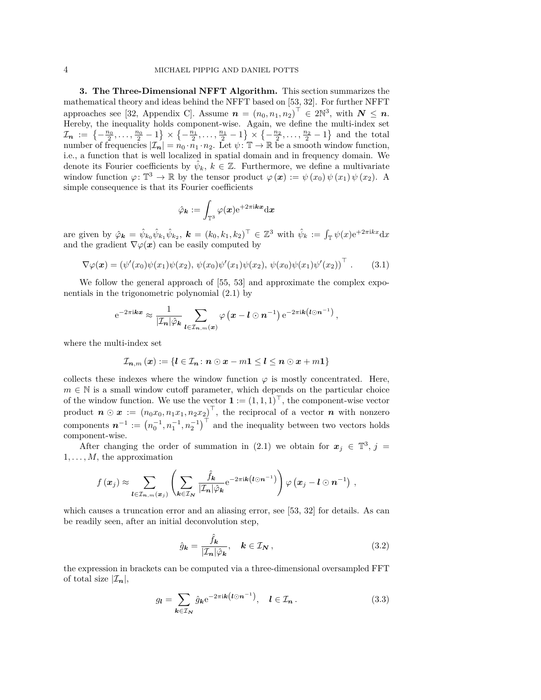<span id="page-3-0"></span>**3. The Three-Dimensional NFFT Algorithm.** This section summarizes the mathematical theory and ideas behind the NFFT based on [\[53,](#page-26-2) [32\]](#page-25-1). For further NFFT approaches see [\[32,](#page-25-1) Appendix C]. Assume  $n = (n_0, n_1, n_2)^\top \in 2\mathbb{N}^3$ , with  $N \leq n$ . Hereby, the inequality holds component-wise. Again, we define the multi-index set  $\mathcal{I}_n := \left\{-\frac{n_0}{2}, \ldots, \frac{n_0}{2} - 1\right\} \times \left\{-\frac{n_1}{2}, \ldots, \frac{n_1}{2} - 1\right\} \times \left\{-\frac{n_2}{2}, \ldots, \frac{n_2}{2} - 1\right\}$  and the total number of frequencies  $|\mathcal{I}_n| = n_0 \cdot n_1 \cdot n_2$ . Let  $\psi: \mathbb{T} \to \mathbb{R}$  be a smooth window function, i.e., a function that is well localized in spatial domain and in frequency domain. We denote its Fourier coefficients by  $\hat{\psi}_k$ ,  $k \in \mathbb{Z}$ . Furthermore, we define a multivariate window function  $\varphi: \mathbb{T}^3 \to \mathbb{R}$  by the tensor product  $\varphi(\mathbf{x}) := \psi(x_0) \psi(x_1) \psi(x_2)$ . A simple consequence is that its Fourier coefficients

$$
\hat{\varphi}_{\bm{k}}:=\int_{\mathbb{T}^3}\varphi(\bm{x})\mathrm{e}^{+2\pi\mathrm{i}\bm{k}\bm{x}}\mathrm{d}\bm{x}
$$

are given by  $\hat{\varphi}_k = \hat{\psi}_{k_0} \hat{\psi}_{k_1} \hat{\psi}_{k_2}, k = (k_0, k_1, k_2)^\top \in \mathbb{Z}^3$  with  $\hat{\psi}_k := \int_{\mathbb{T}} \psi(x) e^{+2\pi i kx} dx$ and the gradient  $\nabla \varphi(\boldsymbol{x})$  can be easily computed by

<span id="page-3-3"></span>
$$
\nabla \varphi(\boldsymbol{x}) = (\psi'(x_0)\psi(x_1)\psi(x_2), \psi(x_0)\psi'(x_1)\psi(x_2), \psi(x_0)\psi(x_1)\psi'(x_2))^\top. \quad (3.1)
$$

We follow the general approach of [\[55,](#page-26-0) [53\]](#page-26-2) and approximate the complex exponentials in the trigonometric polynomial [\(2.1\)](#page-2-3) by

$$
e^{-2\pi i \mathbf{kx}} \approx \frac{1}{|\mathcal{I}_n| \hat{\varphi}_{\mathbf{k}}}\sum_{\boldsymbol{l} \in \mathcal{I}_{\boldsymbol{n},m}(\boldsymbol{x})} \varphi\left(\boldsymbol{x} - \boldsymbol{l} \odot \boldsymbol{n}^{-1}\right) e^{-2\pi i \mathbf{k}\left(\boldsymbol{l} \odot \boldsymbol{n}^{-1}\right)},
$$

where the multi-index set

$$
\mathcal{I}_{n,m}(x) := \{l \in \mathcal{I}_n \colon n \odot x - m\mathbf{1} \leq l \leq n \odot x + m\mathbf{1}\}
$$

collects these indexes where the window function  $\varphi$  is mostly concentrated. Here,  $m \in \mathbb{N}$  is a small window cutoff parameter, which depends on the particular choice of the window function. We use the vector  $\mathbf{1} := (1,1,1)^{\top}$ , the component-wise vector product  $\boldsymbol{n} \odot \boldsymbol{x} := (n_0x_0, n_1x_1, n_2x_2)^\top$ , the reciprocal of a vector  $\boldsymbol{n}$  with nonzero components  $\boldsymbol{n}^{-1} := (n_0^{-1}, n_1^{-1}, n_2^{-1})^\top$  and the inequality between two vectors holds component-wise.

After changing the order of summation in [\(2.1\)](#page-2-3) we obtain for  $x_j \in \mathbb{T}^3$ ,  $j =$  $1, \ldots, M$ , the approximation

$$
f(\boldsymbol{x}_j) \approx \sum_{\boldsymbol{l} \in \mathcal{I}_{\boldsymbol{n},m}(\boldsymbol{x}_j)} \left( \sum_{\boldsymbol{k} \in \mathcal{I}_{\boldsymbol{N}}} \frac{\hat{f}_{\boldsymbol{k}}}{|\mathcal{I}_{\boldsymbol{n}}| \hat{\varphi}_{\boldsymbol{k}}} e^{-2\pi i \boldsymbol{k} (\boldsymbol{l} \odot \boldsymbol{n}^{-1})} \right) \varphi(\boldsymbol{x}_j - \boldsymbol{l} \odot \boldsymbol{n}^{-1}),
$$

which causes a truncation error and an aliasing error, see [\[53,](#page-26-2) [32\]](#page-25-1) for details. As can be readily seen, after an initial deconvolution step,

<span id="page-3-1"></span>
$$
\hat{g}_{\mathbf{k}} = \frac{\hat{f}_{\mathbf{k}}}{|\mathcal{I}_{\mathbf{n}}|\hat{\varphi}_{\mathbf{k}}}, \quad \mathbf{k} \in \mathcal{I}_{\mathbf{N}} \,, \tag{3.2}
$$

the expression in brackets can be computed via a three-dimensional oversampled FFT of total size  $|\mathcal{I}_n|$ ,

<span id="page-3-2"></span>
$$
g_{l} = \sum_{k \in \mathcal{I}_N} \hat{g}_k e^{-2\pi i k \left( l \odot n^{-1} \right)}, \quad l \in \mathcal{I}_n. \tag{3.3}
$$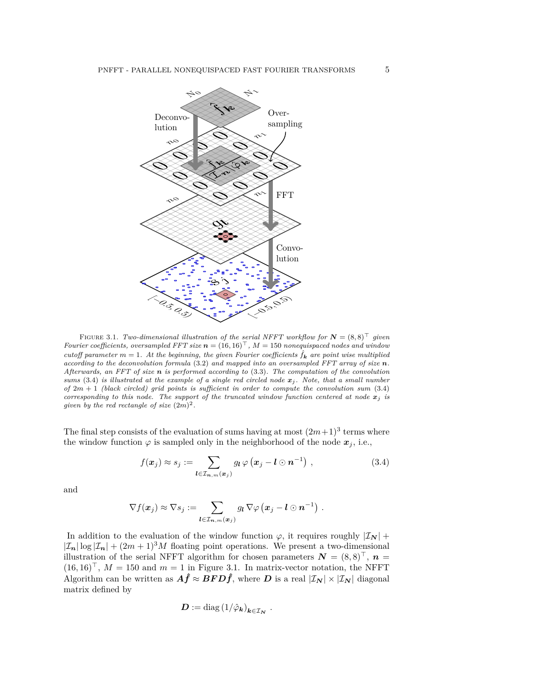

<span id="page-4-1"></span>FIGURE 3.1. *Two-dimensional illustration of the serial NFFT workflow for*  $N = (8,8)^{\top}$  given *Fourier coefficients, oversampled FFT size*  $n = (16, 16)^T$ ,  $M = 150$  *nonequispaced nodes and window cutoff parameter*  $m = 1$ . At the beginning, the given Fourier coefficients  $\hat{f}_k$  are point wise multiplied *according to the deconvolution formula* [\(3.2\)](#page-3-1) *and mapped into an oversampled FFT array of size n. Afterwards, an FFT of size n is performed according to* [\(3.3\)](#page-3-2)*. The computation of the convolution sums* [\(3.4\)](#page-4-0) *is illustrated at the example of a single red circled node*  $x_j$ . Note, that a small number *of* 2*m* + 1 *(black circled) grid points is sufficient in order to compute the convolution sum* [\(3.4\)](#page-4-0) *corresponding to this node. The support of the truncated window function centered at node*  $x_j$  *is given by the red rectangle of size*  $(2m)^2$ .

The final step consists of the evaluation of sums having at most  $(2m+1)^3$  terms where the window function  $\varphi$  is sampled only in the neighborhood of the node  $x_j$ , i.e.,

<span id="page-4-0"></span>
$$
f(\boldsymbol{x}_j) \approx s_j := \sum_{\boldsymbol{l} \in \mathcal{I}_{\boldsymbol{n},m}(\boldsymbol{x}_j)} g_{\boldsymbol{l}} \varphi(\boldsymbol{x}_j - \boldsymbol{l} \odot \boldsymbol{n}^{-1}), \qquad (3.4)
$$

*.*

and

$$
\nabla f(\boldsymbol{x}_j) \approx \nabla s_j := \sum_{\boldsymbol{l} \in \mathcal{I}_{\boldsymbol{n},m}(\boldsymbol{x}_j)} g_{\boldsymbol{l}} \nabla \varphi (\boldsymbol{x}_j - \boldsymbol{l} \odot \boldsymbol{n}^{-1}) \ .
$$

In addition to the evaluation of the window function  $\varphi$ , it requires roughly  $|\mathcal{I}_{N}|$  +  $|\mathcal{I}_n| \log |\mathcal{I}_n| + (2m+1)^3 M$  floating point operations. We present a two-dimensional illustration of the serial NFFT algorithm for chosen parameters  $\mathbf{N} = (8,8)^{\top}$ ,  $\mathbf{n} =$  $(16, 16)^{\top}$ ,  $M = 150$  and  $m = 1$  in Figure [3.1.](#page-4-1) In matrix-vector notation, the NFFT Algorithm can be written as  $\hat{A}f \approx BFD\hat{f}$ , where *D* is a real  $|\mathcal{I}_N| \times |\mathcal{I}_N|$  diagonal matrix defined by

$$
\boldsymbol{D}:=\text{diag}\left(1/\hat{\varphi}_{\boldsymbol{k}}\right)_{\boldsymbol{k}\in\mathcal{I}_{\boldsymbol{N}}}
$$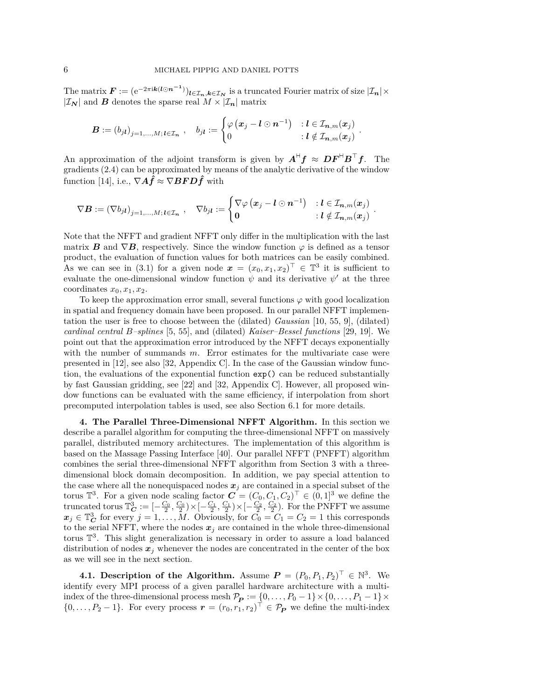The matrix  $\mathbf{F} := (e^{-2\pi i \mathbf{k} (\mathbf{l} \odot \mathbf{n}^{-1})})_{\mathbf{l} \in \mathcal{I}_n, \mathbf{k} \in \mathcal{I}_N}$  is a truncated Fourier matrix of size  $|\mathcal{I}_n| \times$  $|\mathcal{I}_N|$  and *B* denotes the sparse real  $M \times |\mathcal{I}_n|$  matrix

$$
\boldsymbol{B} := \left(b_{j\boldsymbol{l}}\right)_{j=1,...,M;\, \boldsymbol{l}\in{\mathcal{I}}_{\boldsymbol{n}}} \ , \quad b_{j\boldsymbol{l}} := \begin{cases} \varphi\left(\boldsymbol{x}_j - \boldsymbol{l}\odot\boldsymbol{n}^{-1}\right) & : \boldsymbol{l}\in{\mathcal{I}}_{\boldsymbol{n},m}(\boldsymbol{x}_j) \\ 0 & : \boldsymbol{l}\notin{\mathcal{I}}_{\boldsymbol{n},m}(\boldsymbol{x}_j) \end{cases}
$$

*.*

An approximation of the adjoint transform is given by  $A^H f \approx DF^H B^T f$ . The gradients [\(2.4\)](#page-2-1) can be approximated by means of the analytic derivative of the window function [\[14\]](#page-24-7), i.e.,  $\nabla \mathbf{A} \hat{\mathbf{f}} \approx \nabla \mathbf{B} \mathbf{F} \mathbf{D} \hat{\mathbf{f}}$  with

$$
\nabla \boldsymbol{B} := \left(\nabla b_{j\boldsymbol{l}}\right)_{j=1,...,M;\, \boldsymbol{l}\in{\mathcal{I}}_{\boldsymbol{n}}} \ , \quad \nabla b_{j\boldsymbol{l}} := \begin{cases} \nabla \varphi\left(\boldsymbol{x}_{j}-\boldsymbol{l} \odot \boldsymbol{n}^{-1}\right) & : \boldsymbol{l}\in{\mathcal{I}}_{\boldsymbol{n},m}(\boldsymbol{x}_{j}) \\ \boldsymbol{0} & : \boldsymbol{l}\notin{\mathcal{I}}_{\boldsymbol{n},m}(\boldsymbol{x}_{j}) \end{cases} \ .
$$

Note that the NFFT and gradient NFFT only differ in the multiplication with the last matrix *B* and  $\nabla$ *B*, respectively. Since the window function  $\varphi$  is defined as a tensor product, the evaluation of function values for both matrices can be easily combined. As we can see in [\(3.1\)](#page-3-3) for a given node  $\boldsymbol{x} = (x_0, x_1, x_2)^\top \in \mathbb{T}^3$  it is sufficient to evaluate the one-dimensional window function  $\psi$  and its derivative  $\psi'$  at the three coordinates  $x_0, x_1, x_2$ .

To keep the approximation error small, several functions  $\varphi$  with good localization in spatial and frequency domain have been proposed. In our parallel NFFT implementation the user is free to choose between the (dilated) *Gaussian* [\[10,](#page-24-0) [55,](#page-26-0) [9\]](#page-24-8), (dilated) *cardinal central B–splines* [\[5,](#page-24-1) [55\]](#page-26-0), and (dilated) *Kaiser–Bessel functions* [\[29,](#page-25-22) [19\]](#page-25-23). We point out that the approximation error introduced by the NFFT decays exponentially with the number of summands *m*. Error estimates for the multivariate case were presented in [\[12\]](#page-24-9), see also [\[32,](#page-25-1) Appendix C]. In the case of the Gaussian window function, the evaluations of the exponential function exp() can be reduced substantially by fast Gaussian gridding, see [\[22\]](#page-25-0) and [\[32,](#page-25-1) Appendix C]. However, all proposed window functions can be evaluated with the same efficiency, if interpolation from short precomputed interpolation tables is used, see also Section [6.1](#page-16-0) for more details.

<span id="page-5-0"></span>**4. The Parallel Three-Dimensional NFFT Algorithm.** In this section we describe a parallel algorithm for computing the three-dimensional NFFT on massively parallel, distributed memory architectures. The implementation of this algorithm is based on the Massage Passing Interface [\[40\]](#page-25-13). Our parallel NFFT (PNFFT) algorithm combines the serial three-dimensional NFFT algorithm from Section [3](#page-3-0) with a threedimensional block domain decomposition. In addition, we pay special attention to the case where all the nonequispaced nodes  $x_j$  are contained in a special subset of the torus  $\mathbb{T}^3$ . For a given node scaling factor  $\mathbf{C} = (C_0, C_1, C_2)^\top \in (0, 1]^3$  we define the truncated torus  $\mathbb{T}_{\mathbf{C}}^3 := \left[ -\frac{C_0}{2}, \frac{C_0}{2} \right) \times \left[ -\frac{C_1}{2}, \frac{C_1}{2} \right) \times \left[ -\frac{C_2}{2}, \frac{C_2}{2} \right]$ . For the PNFFT we assume  $x_j \in \mathbb{T}^3_C$  for every  $j = 1, \ldots, M$ . Obviously, for  $C_0 = C_1 = C_2 = 1$  this corresponds to the serial NFFT, where the nodes  $x_j$  are contained in the whole three-dimensional torus  $\mathbb{T}^3$ . This slight generalization is necessary in order to assure a load balanced distribution of nodes  $x_j$  whenever the nodes are concentrated in the center of the box as we will see in the next section.

**4.1. Description of the Algorithm.** Assume  $P = (P_0, P_1, P_2)^\top \in \mathbb{N}^3$ . We identify every MPI process of a given parallel hardware architecture with a multiindex of the three-dimensional process mesh  $\mathcal{P}_{\mathbf{P}} := \{0, \ldots, P_0 - 1\} \times \{0, \ldots, P_1 - 1\} \times$  $\{0, \ldots, P_2 - 1\}$ . For every process  $\mathbf{r} = (r_0, r_1, r_2)^\top \in \mathcal{P}_P$  we define the multi-index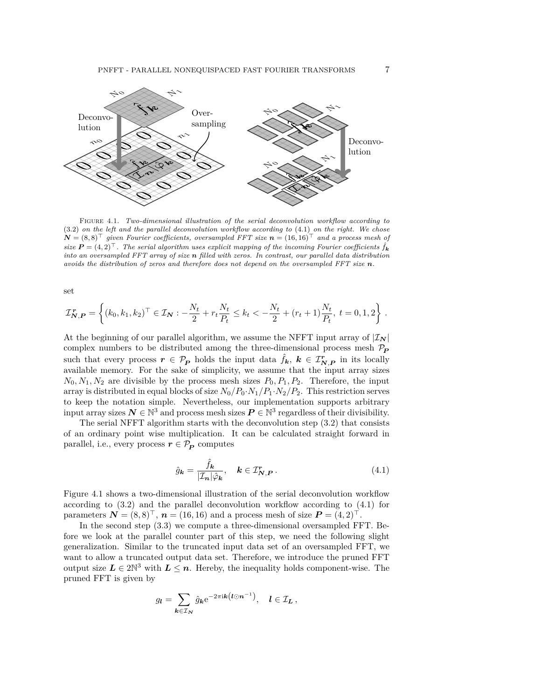

<span id="page-6-1"></span>Figure 4.1. *Two-dimensional illustration of the serial deconvolution workflow according to* [\(3.2\)](#page-3-1) *on the left and the parallel deconvolution workflow according to* [\(4.1\)](#page-6-0) *on the right. We chose*  $N = (8,8)^{\top}$  given Fourier coefficients, oversampled FFT size  $n = (16, 16)^{\top}$  and a process mesh of *size*  $P = (4, 2)^{\top}$ . The serial algorithm uses explicit mapping of the incoming Fourier coefficients  $\hat{f}_k$ *into an oversampled FFT array of size n filled with zeros. In contrast, our parallel data distribution avoids the distribution of zeros and therefore does not depend on the oversampled FFT size n.*

set

$$
\mathcal{I}_{\mathbf{N},\mathbf{P}}^{\mathbf{r}} = \left\{ (k_0, k_1, k_2)^\top \in \mathcal{I}_\mathbf{N} : -\frac{N_t}{2} + r_t \frac{N_t}{P_t} \le k_t < -\frac{N_t}{2} + (r_t + 1) \frac{N_t}{P_t}, \ t = 0, 1, 2 \right\}.
$$

At the beginning of our parallel algorithm, we assume the NFFT input array of  $|\mathcal{I}_{N}|$ complex numbers to be distributed among the three-dimensional process mesh  $P_P$ such that every process  $r \in \mathcal{P}_P$  holds the input data  $\hat{f}_k$ ,  $k \in \mathcal{I}_{N,P}^r$  in its locally available memory. For the sake of simplicity, we assume that the input array sizes  $N_0, N_1, N_2$  are divisible by the process mesh sizes  $P_0, P_1, P_2$ . Therefore, the input array is distributed in equal blocks of size  $N_0/P_0 \cdot N_1/P_1 \cdot N_2/P_2$ . This restriction serves to keep the notation simple. Nevertheless, our implementation supports arbitrary input array sizes  $N \in \mathbb{N}^3$  and process mesh sizes  $P \in \mathbb{N}^3$  regardless of their divisibility.

The serial NFFT algorithm starts with the deconvolution step [\(3.2\)](#page-3-1) that consists of an ordinary point wise multiplication. It can be calculated straight forward in parallel, i.e., every process  $r \in \mathcal{P}_P$  computes

<span id="page-6-0"></span>
$$
\hat{g}_{\mathbf{k}} = \frac{\hat{f}_{\mathbf{k}}}{|\mathcal{I}_n|\hat{\varphi}_{\mathbf{k}}}, \quad \mathbf{k} \in \mathcal{I}_{N,P}^r. \tag{4.1}
$$

Figure [4.1](#page-6-1) shows a two-dimensional illustration of the serial deconvolution workflow according to [\(3.2\)](#page-3-1) and the parallel deconvolution workflow according to [\(4.1\)](#page-6-0) for parameters  $N = (8, 8)^{\top}$ ,  $n = (16, 16)$  and a process mesh of size  $P = (4, 2)^{\top}$ .

In the second step [\(3.3\)](#page-3-2) we compute a three-dimensional oversampled FFT. Before we look at the parallel counter part of this step, we need the following slight generalization. Similar to the truncated input data set of an oversampled FFT, we want to allow a truncated output data set. Therefore, we introduce the pruned FFT output size  $L \in 2\mathbb{N}^3$  with  $L \leq n$ . Hereby, the inequality holds component-wise. The pruned FFT is given by

$$
g_{\boldsymbol{l}} = \sum_{\boldsymbol{k} \in \mathcal{I}_{\boldsymbol{N}}} \hat{g}_{\boldsymbol{k}} e^{-2\pi i \boldsymbol{k} \left(\boldsymbol{l} \odot \boldsymbol{n}^{-1}\right)}, \quad \boldsymbol{l} \in \mathcal{I}_{\boldsymbol{L}}\,,
$$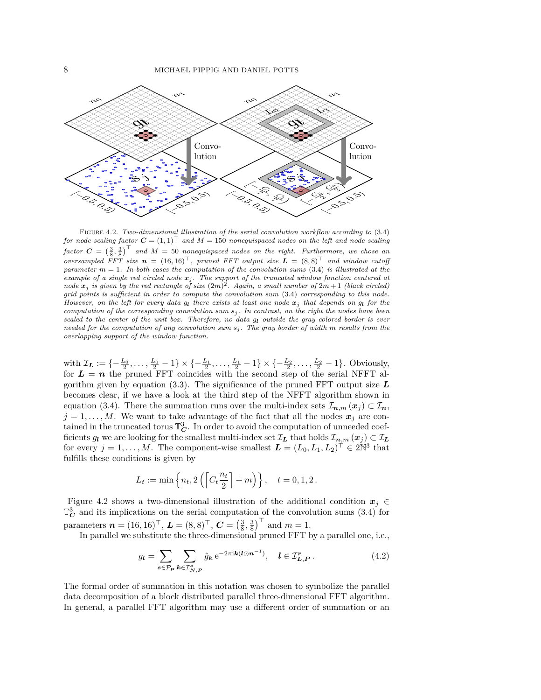

<span id="page-7-0"></span>Figure 4.2. *Two-dimensional illustration of the serial convolution workflow according to* [\(3.4\)](#page-4-0) *for node scaling factor*  $C = (1, 1)^T$  *and*  $M = 150$  *nonequispaced nodes on the left and node scaling*  $factor C = \left(\frac{3}{8}, \frac{3}{8}\right)^\top$  and  $M = 50$  nonequispaced nodes on the right. Furthermore, we chose an *oversampled FFT size*  $n = (16, 16)^T$ , pruned FFT output size  $L = (8, 8)^T$  and window cutoff *parameter m* = 1*. In both cases the computation of the convolution sums* [\(3.4\)](#page-4-0) *is illustrated at the example of a single red circled node x<sup>j</sup> . The support of the truncated window function centered at node*  $x_j$  *is given by the red rectangle of size*  $(2m)^2$ . Again, a small number of  $2m+1$  (black circled) *grid points is sufficient in order to compute the convolution sum* [\(3.4\)](#page-4-0) *corresponding to this node. However, on the left for every data g<sup>l</sup> there exists at least one node x<sup>j</sup> that depends on g<sup>l</sup> for the computation of the corresponding convolution sum s<sup>j</sup> . In contrast, on the right the nodes have been scaled to the center of the unit box. Therefore, no data g<sup>l</sup> outside the gray colored border is ever needed for the computation of any convolution sum s<sup>j</sup> . The gray border of width m results from the overlapping support of the window function.*

with  $\mathcal{I}_L := \{-\frac{L_0}{2}, \ldots, \frac{L_0}{2} - 1\} \times \{-\frac{L_1}{2}, \ldots, \frac{L_1}{2} - 1\} \times \{-\frac{L_2}{2}, \ldots, \frac{L_2}{2} - 1\}.$  Obviously, for  $L = n$  the pruned FFT coincides with the second step of the serial NFFT algorithm given by equation [\(3.3\)](#page-3-2). The significance of the pruned FFT output size *L* becomes clear, if we have a look at the third step of the NFFT algorithm shown in equation [\(3.4\)](#page-4-0). There the summation runs over the multi-index sets  $\mathcal{I}_{n,m}(x_i) \subset \mathcal{I}_n$ ,  $j = 1, \ldots, M$ . We want to take advantage of the fact that all the nodes  $x_j$  are contained in the truncated torus  $\mathbb{T}_{\mathbf{C}}^3$ . In order to avoid the computation of unneeded coefficients *gl* we are looking for the smallest multi-index set  $\mathcal{I}_L$  that holds  $\mathcal{I}_{n,m}(x_j) \subset \mathcal{I}_L$ for every  $j = 1, ..., M$ . The component-wise smallest  $\boldsymbol{L} = (L_0, L_1, L_2)^{\top} \in 2\mathbb{N}^3$  that fulfills these conditions is given by

$$
L_t := \min \left\{ n_t, 2 \left( \left[ C_t \frac{n_t}{2} \right] + m \right) \right\}, \quad t = 0, 1, 2.
$$

Figure [4.2](#page-7-0) shows a two-dimensional illustration of the additional condition  $x_j \in$  $\mathbb{T}_{\mathbf{C}}^3$  and its implications on the serial computation of the convolution sums  $(3.4)$  for parameters  $\boldsymbol{n} = (16, 16)^{\top}, \, \boldsymbol{L} = (8, 8)^{\top}, \, \boldsymbol{C} = \left(\frac{3}{8}, \frac{3}{8}\right)^{\top}$  and  $m = 1$ .

In parallel we substitute the three-dimensional pruned FFT by a parallel one, i.e.,

<span id="page-7-1"></span>
$$
g_{l} = \sum_{s \in \mathcal{P}_{P}} \sum_{k \in \mathcal{I}_{N,P}^{s}} \hat{g}_{k} e^{-2\pi i k (l \odot n^{-1})}, \quad l \in \mathcal{I}_{L,P}^{r}.
$$
 (4.2)

The formal order of summation in this notation was chosen to symbolize the parallel data decomposition of a block distributed parallel three-dimensional FFT algorithm. In general, a parallel FFT algorithm may use a different order of summation or an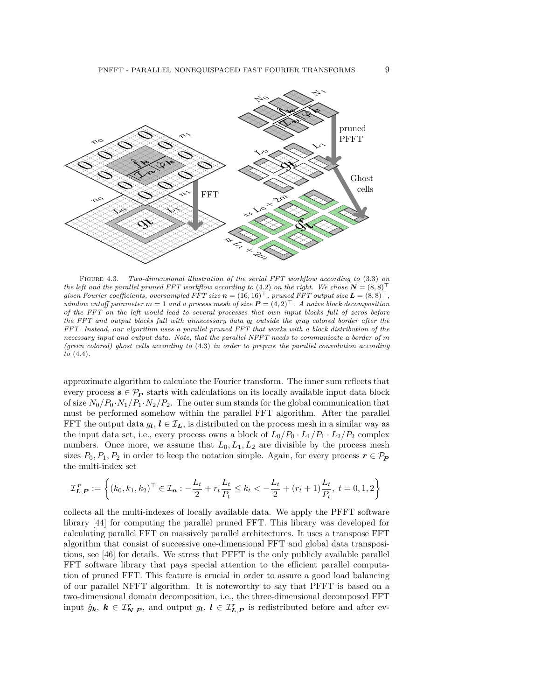

<span id="page-8-0"></span>Figure 4.3. *Two-dimensional illustration of the serial FFT workflow according to* [\(3.3\)](#page-3-2) *on the left and the parallel pruned FFT workflow according to* [\(4.2\)](#page-7-1) *on the right. We chose*  $N = (8,8)^T$ *given Fourier coefficients, oversampled FFT size*  $n = (16, 16)^{\top}$ , pruned FFT output size  $L = (8, 8)^{\top}$ *window cutoff parameter*  $m = 1$  *and a process mesh of size*  $P = (4, 2)^T$ . A naive block decomposition *of the FFT on the left would lead to several processes that own input blocks full of zeros before the FFT and output blocks full with unnecessary data g<sup>l</sup> outside the gray colored border after the FFT. Instead, our algorithm uses a parallel pruned FFT that works with a block distribution of the necessary input and output data. Note, that the parallel NFFT needs to communicate a border of m (green colored) ghost cells according to* [\(4.3\)](#page-10-0) *in order to prepare the parallel convolution according to* [\(4.4\)](#page-10-1)*.*

approximate algorithm to calculate the Fourier transform. The inner sum reflects that every process  $s \in \mathcal{P}_P$  starts with calculations on its locally available input data block of size  $N_0/P_0 \cdot N_1/P_1 \cdot N_2/P_2$ . The outer sum stands for the global communication that must be performed somehow within the parallel FFT algorithm. After the parallel FFT the output data  $g_l, l \in \mathcal{I}_L$ , is distributed on the process mesh in a similar way as the input data set, i.e., every process owns a block of  $L_0/P_0 \cdot L_1/P_1 \cdot L_2/P_2$  complex numbers. Once more, we assume that  $L_0, L_1, L_2$  are divisible by the process mesh sizes  $P_0, P_1, P_2$  in order to keep the notation simple. Again, for every process  $r \in \mathcal{P}_P$ the multi-index set

$$
\mathcal{I}_{L,P}^{\,r} := \left\{ (k_0, k_1, k_2)^\top \in \mathcal{I}_n : -\frac{L_t}{2} + r_t \frac{L_t}{P_t} \le k_t < -\frac{L_t}{2} + (r_t + 1) \frac{L_t}{P_t}, \ t = 0, 1, 2 \right\}
$$

collects all the multi-indexes of locally available data. We apply the PFFT software library [\[44\]](#page-25-10) for computing the parallel pruned FFT. This library was developed for calculating parallel FFT on massively parallel architectures. It uses a transpose FFT algorithm that consist of successive one-dimensional FFT and global data transpositions, see [\[46\]](#page-26-7) for details. We stress that PFFT is the only publicly available parallel FFT software library that pays special attention to the efficient parallel computation of pruned FFT. This feature is crucial in order to assure a good load balancing of our parallel NFFT algorithm. It is noteworthy to say that PFFT is based on a two-dimensional domain decomposition, i.e., the three-dimensional decomposed FFT input  $\hat{g}_k$ ,  $k \in \mathcal{I}_{N,P}^r$ , and output  $g_l$ ,  $l \in \mathcal{I}_{L,P}^r$  is redistributed before and after ev-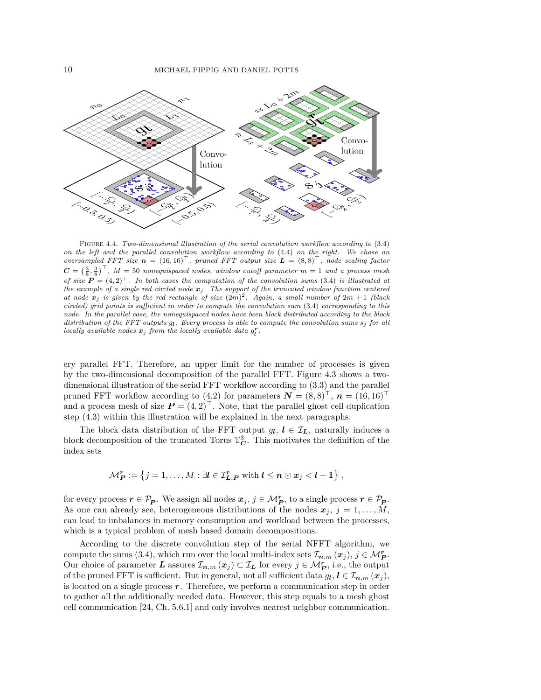

<span id="page-9-0"></span>Figure 4.4. *Two-dimensional illustration of the serial convolution workflow according to* [\(3.4\)](#page-4-0) *on the left and the parallel convolution workflow according to* [\(4.4\)](#page-10-1) *on the right. We chose an oversampled FFT size*  $n = (16, 16)^T$ , pruned FFT output size  $L = (8, 8)^T$ , node scaling factor  $C = \left(\frac{3}{8}, \frac{3}{8}\right)^\top$ ,  $M = 50$  *nonequispaced nodes, window cutoff parameter*  $m = 1$  *and a process mesh of size*  $P = (4,2)^T$ . In both cases the computation of the convolution sums [\(3.4\)](#page-4-0) is illustrated at *the example of a single red circled node x<sup>j</sup> . The support of the truncated window function centered* at node  $x_j$  is given by the red rectangle of size  $(2m)^2$ . Again, a small number of  $2m+1$  (black *circled) grid points is sufficient in order to compute the convolution sum* [\(3.4\)](#page-4-0) *corresponding to this node. In the parallel case, the nonequispaced nodes have been block distributed according to the block distribution of the FFT outputs g<sup>l</sup> . Every process is able to compute the convolution sums s<sup>j</sup> for all locally available nodes*  $x_j$  *from the locally available data*  $g_l^r$ .

ery parallel FFT. Therefore, an upper limit for the number of processes is given by the two-dimensional decomposition of the parallel FFT. Figure [4.3](#page-8-0) shows a twodimensional illustration of the serial FFT workflow according to [\(3.3\)](#page-3-2) and the parallel pruned FFT workflow according to [\(4.2\)](#page-7-1) for parameters  $\mathbf{N} = (8,8)^{\top}$ ,  $\mathbf{n} = (16,16)^{\top}$ and a process mesh of size  $P = (4, 2)^{\top}$ . Note, that the parallel ghost cell duplication step [\(4.3\)](#page-10-0) within this illustration will be explained in the next paragraphs.

The block data distribution of the FFT output  $g_l, l \in \mathcal{I}_L$ , naturally induces a block decomposition of the truncated Torus  $\mathbb{T}_{\mathbf{C}}^3$ . This motivates the definition of the index sets

$$
\mathcal{M}_{\mathbf{P}}^r := \{j = 1, \ldots, M : \exists l \in \mathcal{I}_{\mathbf{L},\mathbf{P}}^r \text{ with } l \leq n \odot x_j < l + 1\},\
$$

for every process  $r \in \mathcal{P}_P$ . We assign all nodes  $x_j, j \in \mathcal{M}_P^r$ , to a single process  $r \in \mathcal{P}_P$ . As one can already see, heterogeneous distributions of the nodes  $x_j$ ,  $j = 1, \ldots, M$ , can lead to imbalances in memory consumption and workload between the processes, which is a typical problem of mesh based domain decompositions.

According to the discrete convolution step of the serial NFFT algorithm, we compute the sums [\(3.4\)](#page-4-0), which run over the local multi-index sets  $\mathcal{I}_{n,m}(x_j)$ ,  $j \in \mathcal{M}_{\mathbf{P}}^{\mathbf{r}}$ . Our choice of parameter *L* assures  $\mathcal{I}_{n,m}(x_j) \subset \mathcal{I}_L$  for every  $j \in \mathcal{M}_P^r$ , i.e., the output of the pruned FFT is sufficient. But in general, not all sufficient data  $g_l, l \in \mathcal{I}_{n,m}(x_j)$ , is located on a single process *r*. Therefore, we perform a communication step in order to gather all the additionally needed data. However, this step equals to a mesh ghost cell communication [\[24,](#page-25-24) Ch. 5.6.1] and only involves nearest neighbor communication.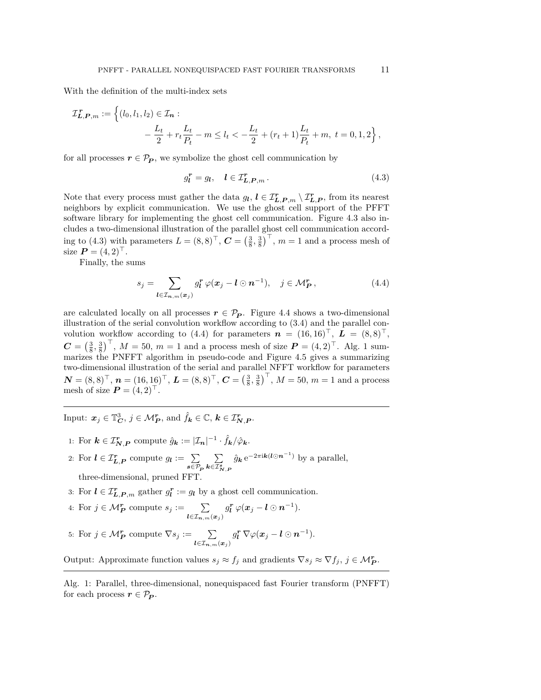With the definition of the multi-index sets

$$
\mathcal{I}_{L,P,m}^{\mathbf{r}} := \left\{ (l_0, l_1, l_2) \in \mathcal{I}_{n} : -\frac{L_t}{2} + r_t \frac{L_t}{P_t} - m \le l_t < -\frac{L_t}{2} + (r_t + 1) \frac{L_t}{P_t} + m, \ t = 0, 1, 2 \right\},\
$$

for all processes  $r \in \mathcal{P}_P$ , we symbolize the ghost cell communication by

<span id="page-10-0"></span>
$$
g_l^r = g_l, \quad l \in \mathcal{I}_{L,P,m}^r. \tag{4.3}
$$

Note that every process must gather the data  $g_l$ ,  $l \in T_{L,P,m}^r \setminus T_{L,P}^r$ , from its nearest neighbors by explicit communication. We use the ghost cell support of the PFFT software library for implementing the ghost cell communication. Figure [4.3](#page-8-0) also includes a two-dimensional illustration of the parallel ghost cell communication accord-ing to [\(4.3\)](#page-10-0) with parameters  $L = (8, 8)^{\top}$ ,  $\mathbf{C} = \left(\frac{3}{8}, \frac{3}{8}\right)^{\top}$ ,  $m = 1$  and a process mesh of size  $P = (4, 2)^{\top}$ .

Finally, the sums

<span id="page-10-1"></span>
$$
s_j = \sum_{\boldsymbol{l} \in \mathcal{I}_{\boldsymbol{n},m}(\boldsymbol{x}_j)} g_{\boldsymbol{l}}^{\boldsymbol{r}} \varphi(\boldsymbol{x}_j - \boldsymbol{l} \odot \boldsymbol{n}^{-1}), \quad j \in \mathcal{M}_{\boldsymbol{P}}^{\boldsymbol{r}}, \tag{4.4}
$$

are calculated locally on all processes  $r \in \mathcal{P}_P$ . Figure [4.4](#page-9-0) shows a two-dimensional illustration of the serial convolution workflow according to [\(3.4\)](#page-4-0) and the parallel con-volution workflow according to [\(4.4\)](#page-10-1) for parameters  $\mathbf{n} = (16, 16)^{\top}, \mathbf{L} = (8, 8)^{\top},$  $\mathbf{C} = \left(\frac{3}{8}, \frac{3}{8}\right)^{\top}$ ,  $M = 50$ ,  $m = 1$  $m = 1$  and a process mesh of size  $\mathbf{P} = (4, 2)^{\top}$ . Alg. 1 summarizes the PNFFT algorithm in pseudo-code and Figure [4.5](#page-11-1) gives a summarizing two-dimensional illustration of the serial and parallel NFFT workflow for parameters  $\mathbf{N} = (8,8)^\top, \, \boldsymbol{n} = (16,16)^\top, \, \boldsymbol{L} = (8,8)^\top, \, \boldsymbol{C} = \left(\frac{3}{8},\frac{3}{8}\right)^\top, \, M = 50, \, m = 1 \text{ and a process}$ mesh of size  $P = (4, 2)^{\top}$ .

<span id="page-10-2"></span>Input:  $x_j \in \mathbb{T}_{\mathbf{C}}^3$ ,  $j \in \mathcal{M}_{\mathbf{P}}^r$ , and  $\hat{f}_k \in \mathbb{C}$ ,  $k \in \mathcal{I}_{\mathbf{N},\mathbf{P}}^r$ .

- <span id="page-10-4"></span><span id="page-10-3"></span>1: For  $\mathbf{k} \in \mathcal{I}_{\mathbf{N},\mathbf{P}}^{\mathbf{r}}$  compute  $\hat{g}_{\mathbf{k}} := |\mathcal{I}_{\mathbf{n}}|^{-1} \cdot \hat{f}_{\mathbf{k}}/\hat{\varphi}_{\mathbf{k}}$ .
- <span id="page-10-7"></span>2: For  $l \in \mathcal{I}_{L,P}^r$  compute  $g_l := \sum$  $s \in \mathcal{P}_P$  $\sum$  $\boldsymbol{k}$ ∈ $\boldsymbol{\mathcal{I}}^{\boldsymbol{s}}_{\boldsymbol{N},\boldsymbol{P}}$  $\hat{g}_k e^{-2\pi i k (l \odot n^{-1})}$  by a parallel, three-dimensional, pruned FFT.
- <span id="page-10-5"></span>3: For  $l \in \mathcal{I}_{L,P,m}^r$  gather  $g_l^r := g_l$  by a ghost cell communication.
- 4: For  $j \in \mathcal{M}_{\mathbf{P}}^r$  compute  $s_j := \sum_{\mathbf{l} \in \mathcal{I}_{\mathbf{n},m}(\mathbf{x}_j)}$  $g_{\boldsymbol l}^{\boldsymbol r} \, \varphi(\boldsymbol x_j - \boldsymbol l \odot \boldsymbol n^{-1}).$
- <span id="page-10-6"></span>5: For  $j \in \mathcal{M}_{\mathbf{P}}^{\mathbf{r}}$  compute  $\nabla s_j := \sum_{\mathbf{l} \in \mathcal{I}_{\mathbf{n},m}(\mathbf{x}_j)}$  $g_{\boldsymbol l}^{\boldsymbol r} \, \nabla \varphi(\boldsymbol x_j - \boldsymbol l \odot \boldsymbol n^{-1}).$

Output: Approximate function values  $s_j \approx f_j$  and gradients  $\nabla s_j \approx \nabla f_j$ ,  $j \in \mathcal{M}_{\mathbf{P}}^{\mathbf{r}}$ .

Alg. 1: Parallel, three-dimensional, nonequispaced fast Fourier transform (PNFFT) for each process  $r \in \mathcal{P}_P$ .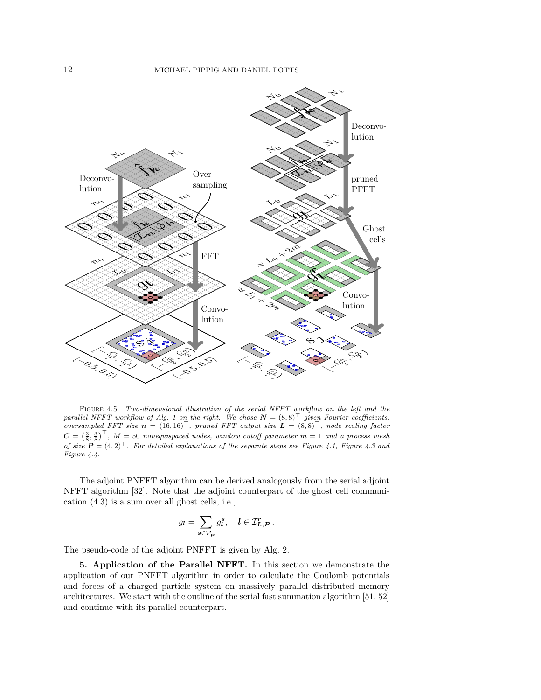

<span id="page-11-1"></span>Figure 4.5. *Two-dimensional illustration of the serial NFFT workflow on the left and the parallel NFFT workflow of Alg.* [1](#page-10-2) *on the right. We chose*  $N = (8,8)^T$  *given Fourier coefficients, oversampled FFT size*  $n = (16, 16)^T$ , pruned FFT output size  $L = (8, 8)^T$ , node scaling factor  $C = \left(\frac{3}{8}, \frac{3}{8}\right)^\top$ ,  $M = 50$  *nonequispaced nodes, window cutoff parameter*  $m = 1$  *and a process mesh of size*  $P = (4, 2)^{\top}$ . For detailed explanations of the separate steps see Figure [4.1,](#page-6-1) Figure [4.3](#page-8-0) and *Figure [4.4.](#page-9-0)*

The adjoint PNFFT algorithm can be derived analogously from the serial adjoint NFFT algorithm [\[32\]](#page-25-1). Note that the adjoint counterpart of the ghost cell communication [\(4.3\)](#page-10-0) is a sum over all ghost cells, i.e.,

$$
g_{\boldsymbol{l}} = \sum_{\boldsymbol{s} \in \mathcal{P}_{\boldsymbol{P}}} g_{\boldsymbol{l}}^{\boldsymbol{s}}, \quad \boldsymbol{l} \in \mathcal{I}_{\boldsymbol{L},\boldsymbol{P}}^{\boldsymbol{r}}.
$$

The pseudo-code of the adjoint PNFFT is given by Alg. [2.](#page-12-0)

<span id="page-11-0"></span>**5. Application of the Parallel NFFT.** In this section we demonstrate the application of our PNFFT algorithm in order to calculate the Coulomb potentials and forces of a charged particle system on massively parallel distributed memory architectures. We start with the outline of the serial fast summation algorithm [\[51,](#page-26-3) [52\]](#page-26-9) and continue with its parallel counterpart.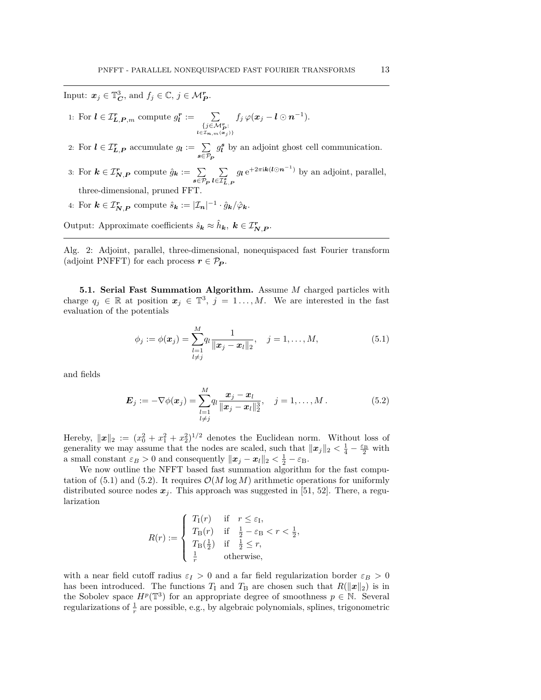<span id="page-12-0"></span>Input:  $x_j \in \mathbb{T}_{\mathbf{C}}^3$ , and  $f_j \in \mathbb{C}, j \in \mathcal{M}_{\mathbf{P}}^r$ .

<span id="page-12-6"></span><span id="page-12-5"></span>1: For 
$$
\mathbf{l} \in \mathcal{I}_{\mathbf{L},\mathbf{P},m}^{\mathbf{r}}
$$
 compute  $g_{\mathbf{l}}^{\mathbf{r}} := \sum_{\substack{\{j \in \mathcal{M}_{\mathbf{P}}^{\mathbf{r}}:\\ \mathbf{l} \in \mathcal{I}_{\mathbf{n},m}(\mathbf{x}_j) \} }} f_j \varphi(\mathbf{x}_j - \mathbf{l} \odot \mathbf{n}^{-1}).$ 

- 2: For  $l \in \mathcal{I}_{L,P}^r$  accumulate  $g_l := \sum$  $s \in \mathcal{P}_P$  $g_l^s$  by an adjoint ghost cell communication.
- <span id="page-12-4"></span>3: For  $k \in \mathcal{I}_{N,P}^r$  compute  $\hat{g}_k := \sum_{i=1}^p \sum_{j=1}^p \hat{g}_k$  $s \in \mathcal{P}_P^+$ P  $l \in \! \mathcal{I}_{\bm{L},\bm{P}}^{\bm{s}}$  $g_{\ell} e^{+2\pi i \mathbf{k}(\ell \odot \mathbf{n}^{-1})}$  by an adjoint, parallel, three-dimensional, pruned FFT.
- 4: For  $\mathbf{k} \in \mathcal{I}_{\mathbf{N},\mathbf{P}}^{\mathbf{r}}$  compute  $\hat{s}_{\mathbf{k}} := |\mathcal{I}_{\mathbf{n}}|^{-1} \cdot \hat{g}_{\mathbf{k}} / \hat{\varphi}_{\mathbf{k}}$ .

Output: Approximate coefficients  $\hat{s}_k \approx \hat{h}_k$ ,  $k \in \mathcal{I}_{N,P}^r$ .

Alg. 2: Adjoint, parallel, three-dimensional, nonequispaced fast Fourier transform (adjoint PNFFT) for each process  $r \in \mathcal{P}_P$ .

**5.1. Serial Fast Summation Algorithm.** Assume *M* charged particles with charge  $q_j \in \mathbb{R}$  at position  $x_j \in \mathbb{T}^3$ ,  $j = 1, ..., M$ . We are interested in the fast evaluation of the potentials

<span id="page-12-3"></span><span id="page-12-1"></span>
$$
\phi_j := \phi(\boldsymbol{x}_j) = \sum_{\substack{l=1\\l \neq j}}^M q_l \frac{1}{\|\boldsymbol{x}_j - \boldsymbol{x}_l\|_2}, \quad j = 1, \dots, M,
$$
\n(5.1)

and fields

<span id="page-12-2"></span>
$$
\boldsymbol{E}_j := -\nabla \phi(\boldsymbol{x}_j) = \sum_{\substack{l=1\\l \neq j}}^M \frac{\boldsymbol{x}_j - \boldsymbol{x}_l}{\|\boldsymbol{x}_j - \boldsymbol{x}_l\|_2^3}, \quad j = 1, \dots, M. \tag{5.2}
$$

Hereby,  $\|\boldsymbol{x}\|_2 := (x_0^2 + x_1^2 + x_2^2)^{1/2}$  denotes the Euclidean norm. Without loss of generality we may assume that the nodes are scaled, such that  $||x_j||_2 < \frac{1}{4} - \frac{\varepsilon_B}{2}$  with a small constant  $\varepsilon_B > 0$  and consequently  $\|\boldsymbol{x}_j - \boldsymbol{x}_l\|_2 < \frac{1}{2} - \varepsilon_B$ .

We now outline the NFFT based fast summation algorithm for the fast compu-tation of [\(5.1\)](#page-12-1) and [\(5.2\)](#page-12-2). It requires  $\mathcal{O}(M \log M)$  arithmetic operations for uniformly distributed source nodes  $x_j$ . This approach was suggested in [\[51,](#page-26-3) [52\]](#page-26-9). There, a regularization

$$
R(r) := \begin{cases} T_{\rm I}(r) & \text{if} \quad r \le \varepsilon_{\rm I}, \\ T_{\rm B}(r) & \text{if} \quad \frac{1}{2} - \varepsilon_{\rm B} < r < \frac{1}{2}, \\ T_{\rm B}(\frac{1}{2}) & \text{if} \quad \frac{1}{2} \le r, \\ \frac{1}{r} & \text{otherwise}, \end{cases}
$$

with a near field cutoff radius  $\varepsilon_I > 0$  and a far field regularization border  $\varepsilon_B > 0$ has been introduced. The functions  $T_1$  and  $T_B$  are chosen such that  $R(\|\boldsymbol{x}\|_2)$  is in the Sobolev space  $H^p(\mathbb{T}^3)$  for an appropriate degree of smoothness  $p \in \mathbb{N}$ . Several regularizations of  $\frac{1}{r}$  are possible, e.g., by algebraic polynomials, splines, trigonometric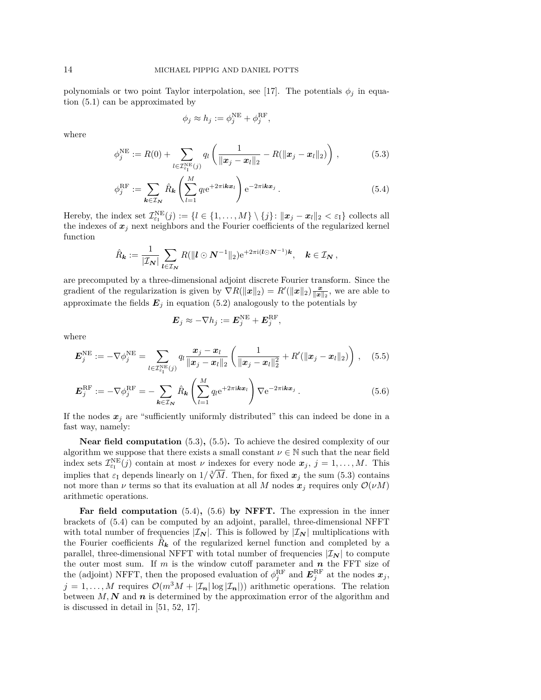polynomials or two point Taylor interpolation, see [\[17\]](#page-25-25). The potentials  $\phi_j$  in equation [\(5.1\)](#page-12-1) can be approximated by

<span id="page-13-2"></span><span id="page-13-0"></span>
$$
\phi_j \approx h_j := \phi_j^{\text{NE}} + \phi_j^{\text{RF}},
$$

where

$$
\phi_j^{\text{NE}} := R(0) + \sum_{l \in \mathcal{I}_{\varepsilon_1}^{\text{NE}}(j)} q_l \left( \frac{1}{\|\boldsymbol{x}_j - \boldsymbol{x}_l\|_2} - R(\|\boldsymbol{x}_j - \boldsymbol{x}_l\|_2) \right), \tag{5.3}
$$

$$
\phi_j^{\text{RF}} := \sum_{\mathbf{k} \in \mathcal{I}_N} \hat{R}_{\mathbf{k}} \left( \sum_{l=1}^M q_l e^{+2\pi i \mathbf{k} \mathbf{x}_l} \right) e^{-2\pi i \mathbf{k} \mathbf{x}_j} . \tag{5.4}
$$

Hereby, the index set  $\mathcal{I}_{\varepsilon_1}^{\text{NE}}(j) := \{l \in \{1, ..., M\} \setminus \{j\} : ||\boldsymbol{x}_j - \boldsymbol{x}_l||_2 < \varepsilon_I\}$  collects all the indexes of  $x_j$  next neighbors and the Fourier coefficients of the regularized kernel function

$$
\hat{R}_{\bm{k}} := \frac{1}{|\mathcal{I}_{\bm{N}}|} \sum_{\bm{l} \in \mathcal{I}_{\bm{N}}} R(\|\bm{l} \odot \bm{N}^{-1}\|_2) e^{+2\pi i (\bm{l} \odot \bm{N}^{-1}) \bm{k}}, \quad \bm{k} \in \mathcal{I}_{\bm{N}}\,,
$$

are precomputed by a three-dimensional adjoint discrete Fourier transform. Since the gradient of the regularization is given by  $\nabla R(\|\mathbf{x}\|_2) = R'(\|\mathbf{x}\|_2) \frac{\mathbf{x}}{\|\mathbf{x}\|_2}$ , we are able to approximate the fields  $E_j$  in equation [\(5.2\)](#page-12-2) analogously to the potentials by

<span id="page-13-3"></span><span id="page-13-1"></span>
$$
\boldsymbol{E}_j \approx -\nabla h_j := \boldsymbol{E}_j^{\text{NE}} + \boldsymbol{E}_j^{\text{RF}},
$$

where

$$
\bm{E}_{j}^{\rm NE} := -\nabla \phi_{j}^{\rm NE} = \sum_{l \in \mathcal{I}_{\varepsilon_1}^{\rm NE}(j)} q_l \frac{\bm{x}_j - \bm{x}_l}{\|\bm{x}_j - \bm{x}_l\|_2} \left( \frac{1}{\|\bm{x}_j - \bm{x}_l\|_2^2} + R'(\|\bm{x}_j - \bm{x}_l\|_2) \right), \quad (5.5)
$$

$$
\boldsymbol{E}_{j}^{\mathrm{RF}} := -\nabla \phi_{j}^{\mathrm{RF}} = -\sum_{\boldsymbol{k} \in \mathcal{I}_{N}} \hat{R}_{\boldsymbol{k}} \left( \sum_{l=1}^{M} q_{l} e^{+2\pi i \boldsymbol{k} \boldsymbol{x}_{l}} \right) \nabla e^{-2\pi i \boldsymbol{k} \boldsymbol{x}_{j}}.
$$
(5.6)

If the nodes  $x_j$  are "sufficiently uniformly distributed" this can indeed be done in a fast way, namely:

**Near field computation** [\(5.3\)](#page-13-0)**,** [\(5.5\)](#page-13-1)**.** To achieve the desired complexity of our algorithm we suppose that there exists a small constant  $\nu \in \mathbb{N}$  such that the near field index sets  $\mathcal{I}_{\varepsilon_1}^{\text{NE}}(j)$  contain at most *ν* indexes for every node  $\mathbf{x}_j$ ,  $j = 1, ..., M$ . This implies that  $\varepsilon_1$  depends linearly on  $1/\sqrt[3]{M}$ . Then, for fixed  $x_j$  the sum [\(5.3\)](#page-13-0) contains implies that  $\varepsilon_1$  depends linearly on  $1/\sqrt[3]{M}$ . Then, for fixed  $x_j$  the sum (5.3) contains not more than *ν* terms so that its evaluation at all *M* nodes  $x_j$  requires only  $\mathcal{O}(\nu M)$ arithmetic operations.

**Far field computation** [\(5.4\)](#page-13-2)**,** [\(5.6\)](#page-13-3) **by NFFT.** The expression in the inner brackets of [\(5.4\)](#page-13-2) can be computed by an adjoint, parallel, three-dimensional NFFT with total number of frequencies  $|\mathcal{I}_N|$ . This is followed by  $|\mathcal{I}_N|$  multiplications with the Fourier coefficients  $\hat{R}_k$  of the regularized kernel function and completed by a parallel, three-dimensional NFFT with total number of frequencies  $|\mathcal{I}_N|$  to compute the outer most sum. If *m* is the window cutoff parameter and *n* the FFT size of the (adjoint) NFFT, then the proposed evaluation of  $\phi_j^{\text{RF}}$  and  $E_j^{\text{RF}}$  at the nodes  $x_j$ ,  $j = 1, ..., M$  requires  $\mathcal{O}(m^3 M + |\mathcal{I}_n| \log |\mathcal{I}_n|)$  arithmetic operations. The relation between  $M$ ,  $N$  and  $n$  is determined by the approximation error of the algorithm and is discussed in detail in [\[51,](#page-26-3) [52,](#page-26-9) [17\]](#page-25-25).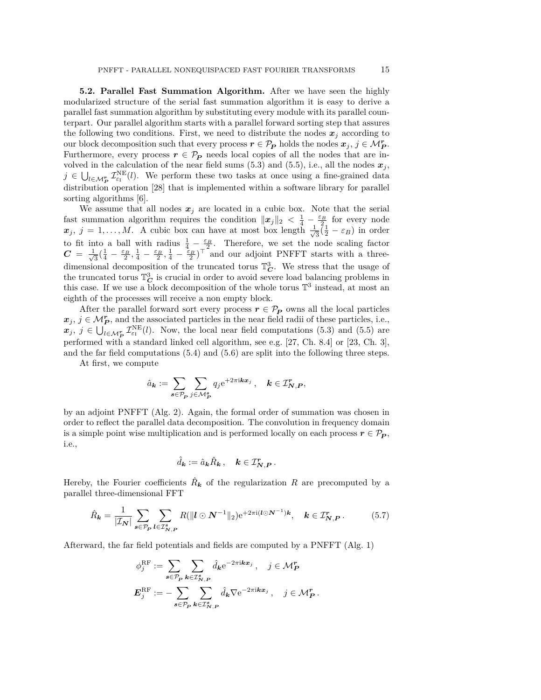**5.2. Parallel Fast Summation Algorithm.** After we have seen the highly modularized structure of the serial fast summation algorithm it is easy to derive a parallel fast summation algorithm by substituting every module with its parallel counterpart. Our parallel algorithm starts with a parallel forward sorting step that assures the following two conditions. First, we need to distribute the nodes  $x_j$  according to our block decomposition such that every process  $r \in \mathcal{P}_P$  holds the nodes  $x_j$ ,  $j \in \mathcal{M}_P^r$ . Furthermore, every process  $r \in \mathcal{P}_P$  needs local copies of all the nodes that are involved in the calculation of the near field sums  $(5.3)$  and  $(5.5)$ , i.e., all the nodes  $x_j$ ,  $j \in \bigcup_{l \in \mathcal{M}_{P}^{r}} \mathcal{I}_{\varepsilon_{l}}^{\text{NE}}(l)$ . We perform these two tasks at once using a fine-grained data distribution operation [\[28\]](#page-25-26) that is implemented within a software library for parallel sorting algorithms [\[6\]](#page-24-10).

We assume that all nodes  $x_j$  are located in a cubic box. Note that the serial fast summation algorithm requires the condition  $\|\boldsymbol{x}_j\|_2 < \frac{1}{4} - \frac{\varepsilon_B}{2}$  for every node  $x_j$ ,  $j = 1, \ldots, M$ . A cubic box can have at most box length  $\frac{1}{\sqrt{2}}$  $\frac{1}{3}(\frac{1}{2} - \varepsilon_B)$  in order to fit into a ball with radius  $\frac{1}{4} - \frac{\varepsilon_B}{r^2}$ . Therefore, we set the node scaling factor  $C = \frac{1}{\sqrt{2}}$  $\frac{1}{3}(\frac{1}{4}-\frac{\varepsilon_B}{2},\frac{1}{4}-\frac{\varepsilon_B}{2},\frac{1}{4}-\frac{\varepsilon_B}{2})^{\top}$  and our adjoint PNFFT starts with a threedimensional decomposition of the truncated torus  $\mathbb{T}_{\mathbf{C}}^3$ . We stress that the usage of the truncated torus  $\mathbb{T}_{\mathbb{C}}^3$  is crucial in order to avoid severe load balancing problems in this case. If we use a block decomposition of the whole torus  $\mathbb{T}^3$  instead, at most an eighth of the processes will receive a non empty block.

After the parallel forward sort every process  $r \in \mathcal{P}_P$  owns all the local particles  $x_j, j \in \mathcal{M}_{P}^r$ , and the associated particles in the near field radii of these particles, i.e.,  $x_j$ ,  $j \in \bigcup_{l \in \mathcal{M}^r_{\mathcal{P}}} \mathcal{I}^{\text{NE}}_{\varepsilon_l}(l)$ . Now, the local near field computations [\(5.3\)](#page-13-0) and [\(5.5\)](#page-13-1) are performed with a standard linked cell algorithm, see e.g. [\[27,](#page-25-27) Ch. 8.4] or [\[23,](#page-25-14) Ch. 3], and the far field computations [\(5.4\)](#page-13-2) and [\(5.6\)](#page-13-3) are split into the following three steps.

At first, we compute

$$
\hat{a}_{\mathbf{k}} := \sum_{\mathbf{s} \in \mathcal{P}_{\mathbf{P}}} \sum_{j \in \mathcal{M}_{\mathbf{P}}^{\mathbf{s}}} q_j e^{+2\pi i \mathbf{k} \mathbf{x}_j}, \quad \mathbf{k} \in \mathcal{I}_{\mathbf{N},\mathbf{P}}^{\mathbf{r}},
$$

by an adjoint PNFFT (Alg. [2\)](#page-12-0). Again, the formal order of summation was chosen in order to reflect the parallel data decomposition. The convolution in frequency domain is a simple point wise multiplication and is performed locally on each process  $r \in \mathcal{P}_P$ , i.e.,

$$
\hat{d}_{\mathbf{k}} := \hat{a}_{\mathbf{k}} \hat{R}_{\mathbf{k}} ,\quad \mathbf{k} \in \mathcal{I}_{\mathbf{N},\mathbf{P}}^{\mathbf{r}}.
$$

Hereby, the Fourier coefficients  $\hat{R}_{\mathbf{k}}$  of the regularization R are precomputed by a parallel three-dimensional FFT

<span id="page-14-0"></span>
$$
\hat{R}_{\mathbf{k}} = \frac{1}{|\mathcal{I}_{\mathbf{N}}|} \sum_{\mathbf{s} \in \mathcal{P}_{\mathbf{P}}} \sum_{\mathbf{l} \in \mathcal{I}_{\mathbf{N},\mathbf{P}}^{\mathbf{s}}} R(||\mathbf{l} \odot \mathbf{N}^{-1}||_2) e^{+2\pi i (\mathbf{l} \odot \mathbf{N}^{-1}) \mathbf{k}}, \quad \mathbf{k} \in \mathcal{I}_{\mathbf{N},\mathbf{P}}^{\mathbf{r}}.
$$
 (5.7)

Afterward, the far field potentials and fields are computed by a PNFFT (Alg. [1\)](#page-10-2)

$$
\phi_j^{\text{RF}} := \sum_{\mathbf{s} \in \mathcal{P}_P} \sum_{\mathbf{k} \in \mathcal{I}_{N,P}^{\mathbf{s}}} \hat{d}_{\mathbf{k}} e^{-2\pi i \mathbf{k} \mathbf{x}_j}, \quad j \in \mathcal{M}_P^{\mathbf{r}}
$$

$$
\mathbf{E}_j^{\text{RF}} := -\sum_{\mathbf{s} \in \mathcal{P}_P} \sum_{\mathbf{k} \in \mathcal{I}_{N,P}^{\mathbf{s}}} \hat{d}_{\mathbf{k}} \nabla e^{-2\pi i \mathbf{k} \mathbf{x}_j}, \quad j \in \mathcal{M}_P^{\mathbf{r}}.
$$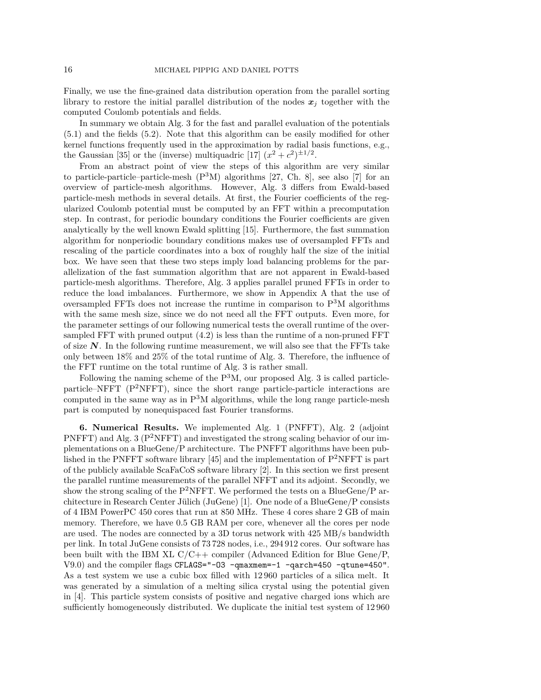Finally, we use the fine-grained data distribution operation from the parallel sorting library to restore the initial parallel distribution of the nodes  $x_j$  together with the computed Coulomb potentials and fields.

In summary we obtain Alg. [3](#page-16-1) for the fast and parallel evaluation of the potentials [\(5.1\)](#page-12-1) and the fields [\(5.2\)](#page-12-2). Note that this algorithm can be easily modified for other kernel functions frequently used in the approximation by radial basis functions, e.g., the Gaussian [\[35\]](#page-25-21) or the (inverse) multiquadric [\[17\]](#page-25-25)  $(x^2 + c^2)^{\pm 1/2}$ .

From an abstract point of view the steps of this algorithm are very similar to particle-particle-mesh  $(P<sup>3</sup>M)$  algorithms [\[27,](#page-25-27) Ch. 8], see also [\[7\]](#page-24-11) for an overview of particle-mesh algorithms. However, Alg. [3](#page-16-1) differs from Ewald-based particle-mesh methods in several details. At first, the Fourier coefficients of the regularized Coulomb potential must be computed by an FFT within a precomputation step. In contrast, for periodic boundary conditions the Fourier coefficients are given analytically by the well known Ewald splitting [\[15\]](#page-24-12). Furthermore, the fast summation algorithm for nonperiodic boundary conditions makes use of oversampled FFTs and rescaling of the particle coordinates into a box of roughly half the size of the initial box. We have seen that these two steps imply load balancing problems for the parallelization of the fast summation algorithm that are not apparent in Ewald-based particle-mesh algorithms. Therefore, Alg. [3](#page-16-1) applies parallel pruned FFTs in order to reduce the load imbalances. Furthermore, we show in Appendix [A](#page-23-0) that the use of oversampled FFTs does not increase the runtime in comparison to  $P<sup>3</sup>M$  algorithms with the same mesh size, since we do not need all the FFT outputs. Even more, for the parameter settings of our following numerical tests the overall runtime of the oversampled FFT with pruned output [\(4.2\)](#page-7-1) is less than the runtime of a non-pruned FFT of size  $N$ . In the following runtime measurement, we will also see that the FFTs take only between 18% and 25% of the total runtime of Alg. [3.](#page-16-1) Therefore, the influence of the FFT runtime on the total runtime of Alg. [3](#page-16-1) is rather small.

Following the naming scheme of the  $P^{3}M$  $P^{3}M$  $P^{3}M$ , our proposed Alg. 3 is called particleparticle–NFFT  $(P^2NFFT)$ , since the short range particle-particle interactions are computed in the same way as in  $P<sup>3</sup>M$  algorithms, while the long range particle-mesh part is computed by nonequispaced fast Fourier transforms.

<span id="page-15-0"></span>**6. Numerical Results.** We implemented Alg. [1](#page-10-2) (PNFFT), Alg. [2](#page-12-0) (adjoint PNFFT) and Alg. [3](#page-16-1) ( $P^2NFFT$ ) and investigated the strong scaling behavior of our implementations on a BlueGene/P architecture. The PNFFT algorithms have been pub-lished in the PNFFT software library [\[45\]](#page-26-14) and the implementation of  $P^2NFFT$  is part of the publicly available ScaFaCoS software library [\[2\]](#page-24-13). In this section we first present the parallel runtime measurements of the parallel NFFT and its adjoint. Secondly, we show the strong scaling of the P<sup>2</sup>NFFT. We performed the tests on a BlueGene/P architecture in Research Center Jülich (JuGene) [\[1\]](#page-24-14). One node of a BlueGene/P consists of 4 IBM PowerPC 450 cores that run at 850 MHz. These 4 cores share 2 GB of main memory. Therefore, we have 0.5 GB RAM per core, whenever all the cores per node are used. The nodes are connected by a 3D torus network with 425 MB/s bandwidth per link. In total JuGene consists of 73 728 nodes, i.e., 294 912 cores. Our software has been built with the IBM XL  $C/C++$  compiler (Advanced Edition for Blue Gene/P, V9.0) and the compiler flags CFLAGS="-O3 -qmaxmem=-1 -qarch=450 -qtune=450". As a test system we use a cubic box filled with 12 960 particles of a silica melt. It was generated by a simulation of a melting silica crystal using the potential given in [\[4\]](#page-24-15). This particle system consists of positive and negative charged ions which are sufficiently homogeneously distributed. We duplicate the initial test system of 12 960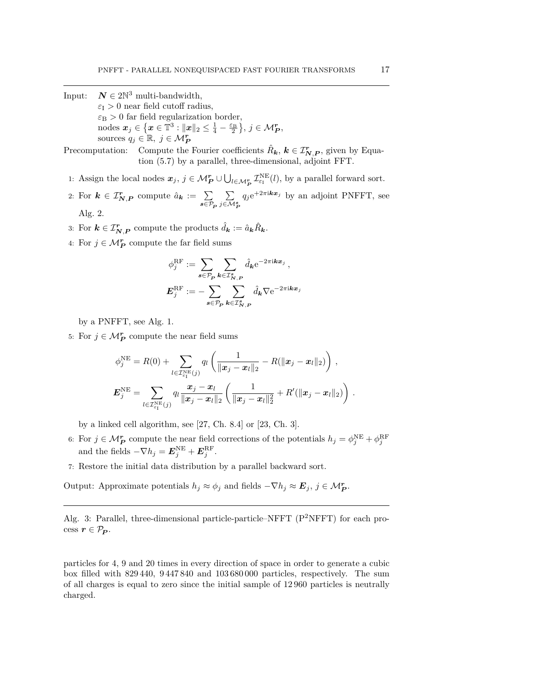- <span id="page-16-1"></span>Input:  $N \in 2\mathbb{N}^3$  multi-bandwidth,  $\varepsilon$ <sub>I</sub> > 0 near field cutoff radius,  $\varepsilon_{\rm B} > 0$  far field regularization border,  $\text{nodes } \bm{x}_j \in \left\{ \bm{x} \in \mathbb{T}^3 : ||\bm{x}||_2 \leq \frac{1}{4} - \frac{\varepsilon_{\text{B}}}{2} \right\}, j \in \mathcal{M}_{\bm{P}}^{\bm{r}},$ sources  $q_j \in \mathbb{R}, j \in \mathcal{M}_P^r$
- Precomputation: Compute the Fourier coefficients  $\hat{R}_k$ ,  $k \in \mathcal{I}_{N,P}^r$ , given by Equation [\(5.7\)](#page-14-0) by a parallel, three-dimensional, adjoint FFT.
- <span id="page-16-4"></span>1: Assign the local nodes  $x_j$ ,  $j \in M_P^r \cup \bigcup_{l \in M_P^r} \mathcal{I}_{\varepsilon_l}^{\text{NE}}(l)$ , by a parallel forward sort.
- 2: For  $k \in \mathcal{I}_{N,P}^r$  compute  $\hat{a}_k := \sum$  $s \in \mathcal{P}_P^{\phantom{|}}$ P *j*∈M*<sup>s</sup> P*  $q_j e^{+2\pi i \mathbf{k} x_j}$  by an adjoint PNFFT, see

<span id="page-16-2"></span>Alg. [2.](#page-12-0)

- 3: For  $\mathbf{k} \in \mathcal{I}_{\mathbf{N},\mathbf{P}}^{\mathbf{r}}$  compute the products  $\hat{d}_{\mathbf{k}} := \hat{a}_{\mathbf{k}} \hat{R}_{\mathbf{k}}$ .
- 4: For  $j \in M_P^r$  compute the far field sums

<span id="page-16-6"></span><span id="page-16-5"></span><span id="page-16-3"></span>
$$
\begin{aligned} \phi_j^{\rm RF} &:= \sum_{\pmb{s}\in \mathcal{P}_{\pmb{P}}}\sum_{\pmb{k}\in \mathcal{I}^{\pmb{s}}_{\pmb{N},\pmb{P}}} \hat{d}_{\pmb{k}} {\rm e}^{-2\pi {\rm i} \pmb{k} \pmb{x}_j}\,, \\ \pmb{E}_j^{\rm RF} &:= -\sum_{\pmb{s}\in \mathcal{P}_{\pmb{P}}}\sum_{\pmb{k}\in \mathcal{I}^{\pmb{s}}_{\pmb{N},\pmb{P}}} \hat{d}_{\pmb{k}} \nabla {\rm e}^{-2\pi {\rm i} \pmb{k} \pmb{x}_j}\end{aligned}
$$

by a PNFFT, see Alg. [1.](#page-10-2)

5: For  $j \in \mathcal{M}_{P}^{r}$  compute the near field sums

<span id="page-16-8"></span><span id="page-16-7"></span>
$$
\phi_j^{\text{NE}} = R(0) + \sum_{l \in \mathcal{I}_{\varepsilon_1}^{\text{NE}}(j)} q_l \left( \frac{1}{\|\boldsymbol{x}_j - \boldsymbol{x}_l\|_2} - R(\|\boldsymbol{x}_j - \boldsymbol{x}_l\|_2) \right),
$$
  

$$
\boldsymbol{E}_j^{\text{NE}} = \sum_{l \in \mathcal{I}_{\varepsilon_1}^{\text{NE}}(j)} q_l \frac{\boldsymbol{x}_j - \boldsymbol{x}_l}{\|\boldsymbol{x}_j - \boldsymbol{x}_l\|_2} \left( \frac{1}{\|\boldsymbol{x}_j - \boldsymbol{x}_l\|_2^2} + R'(\|\boldsymbol{x}_j - \boldsymbol{x}_l\|_2) \right).
$$

by a linked cell algorithm, see [\[27,](#page-25-27) Ch. 8.4] or [\[23,](#page-25-14) Ch. 3].

6: For  $j \in M_P^{\mathbf{r}}$  compute the near field corrections of the potentials  $h_j = \phi_j^{\text{NE}} + \phi_j^{\text{RF}}$ and the fields  $-\nabla h_j = \boldsymbol{E}_j^{\text{NE}} + \boldsymbol{E}_j^{\text{RF}}$ .

7: Restore the initial data distribution by a parallel backward sort.

Output: Approximate potentials  $h_j \approx \phi_j$  and fields  $-\nabla h_j \approx \mathbf{E}_j$ ,  $j \in \mathcal{M}_{\mathbf{P}}^{\mathbf{r}}$ .

Alg. 3: Parallel, three-dimensional particle-particle–NFFT  $(P^2NFFT)$  for each process  $r \in \mathcal{P}_P$ .

<span id="page-16-0"></span>particles for 4, 9 and 20 times in every direction of space in order to generate a cubic box filled with 829 440, 9 447 840 and 103 680 000 particles, respectively. The sum of all charges is equal to zero since the initial sample of 12 960 particles is neutrally charged.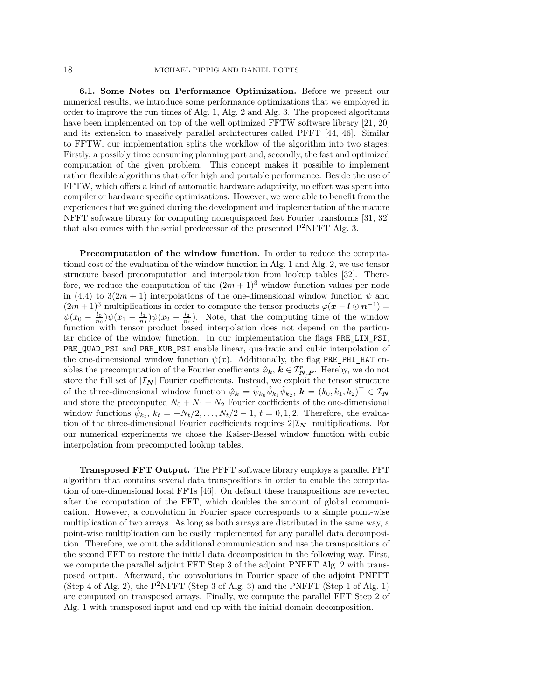**6.1. Some Notes on Performance Optimization.** Before we present our numerical results, we introduce some performance optimizations that we employed in order to improve the run times of Alg. [1,](#page-10-2) Alg. [2](#page-12-0) and Alg. [3.](#page-16-1) The proposed algorithms have been implemented on top of the well optimized FFTW software library [\[21,](#page-25-5) [20\]](#page-25-4) and its extension to massively parallel architectures called PFFT [\[44,](#page-25-10) [46\]](#page-26-7). Similar to FFTW, our implementation splits the workflow of the algorithm into two stages: Firstly, a possibly time consuming planning part and, secondly, the fast and optimized computation of the given problem. This concept makes it possible to implement rather flexible algorithms that offer high and portable performance. Beside the use of FFTW, which offers a kind of automatic hardware adaptivity, no effort was spent into compiler or hardware specific optimizations. However, we were able to benefit from the experiences that we gained during the development and implementation of the mature NFFT software library for computing nonequispaced fast Fourier transforms [\[31,](#page-25-11) [32\]](#page-25-1) that also comes with the serial predecessor of the presented  $P^2$ NFFT Alg. [3.](#page-16-1)

**Precomputation of the window function.** In order to reduce the computational cost of the evaluation of the window function in Alg. [1](#page-10-2) and Alg. [2,](#page-12-0) we use tensor structure based precomputation and interpolation from lookup tables [\[32\]](#page-25-1). Therefore, we reduce the computation of the  $(2m + 1)^3$  window function values per node in [\(4.4\)](#page-10-1) to  $3(2m + 1)$  interpolations of the one-dimensional window function  $\psi$  and  $(2m+1)^3$  multiplications in order to compute the tensor products  $\varphi(\mathbf{x}-\mathbf{l}\odot\mathbf{n}^{-1})=$  $\psi(x_0 - \frac{l_0}{n_0})\psi(x_1 - \frac{l_1}{n_1})\psi(x_2 - \frac{l_2}{n_2})$ . Note, that the computing time of the window function with tensor product based interpolation does not depend on the particular choice of the window function. In our implementation the flags PRE LIN PSI, PRE\_QUAD\_PSI and PRE\_KUB\_PSI enable linear, quadratic and cubic interpolation of the one-dimensional window function  $\psi(x)$ . Additionally, the flag PRE\_PHI\_HAT enables the precomputation of the Fourier coefficients  $\hat{\varphi}_k$ ,  $k \in \mathcal{I}_{N,P}^r$ . Hereby, we do not store the full set of  $|\mathcal{I}_N|$  Fourier coefficients. Instead, we exploit the tensor structure of the three-dimensional window function  $\hat{\varphi}_k = \hat{\psi}_{k_0} \hat{\psi}_{k_1} \hat{\psi}_{k_2}, k = (k_0, k_1, k_2)^\top \in \mathcal{I}_N$ and store the precomputed  $N_0 + N_1 + N_2$  Fourier coefficients of the one-dimensional window functions  $\hat{\psi}_{k_t}$ ,  $k_t = -N_t/2, \ldots, N_t/2 - 1$ ,  $t = 0, 1, 2$ . Therefore, the evaluation of the three-dimensional Fourier coefficients requires  $2|\mathcal{I}_N|$  multiplications. For our numerical experiments we chose the Kaiser-Bessel window function with cubic interpolation from precomputed lookup tables.

**Transposed FFT Output.** The PFFT software library employs a parallel FFT algorithm that contains several data transpositions in order to enable the computation of one-dimensional local FFTs [\[46\]](#page-26-7). On default these transpositions are reverted after the computation of the FFT, which doubles the amount of global communication. However, a convolution in Fourier space corresponds to a simple point-wise multiplication of two arrays. As long as both arrays are distributed in the same way, a point-wise multiplication can be easily implemented for any parallel data decomposition. Therefore, we omit the additional communication and use the transpositions of the second FFT to restore the initial data decomposition in the following way. First, we compute the parallel adjoint FFT Step [3](#page-12-3) of the adjoint PNFFT Alg. [2](#page-12-0) with transposed output. Afterward, the convolutions in Fourier space of the adjoint PNFFT (Step [4](#page-12-4) of Alg. [2\)](#page-12-0), the P<sup>2</sup>NFFT (Step [3](#page-16-2) of Alg. [3\)](#page-16-1) and the PNFFT (Step [1](#page-10-3) of Alg. [1\)](#page-10-2) are computed on transposed arrays. Finally, we compute the parallel FFT Step [2](#page-10-4) of Alg. [1](#page-10-2) with transposed input and end up with the initial domain decomposition.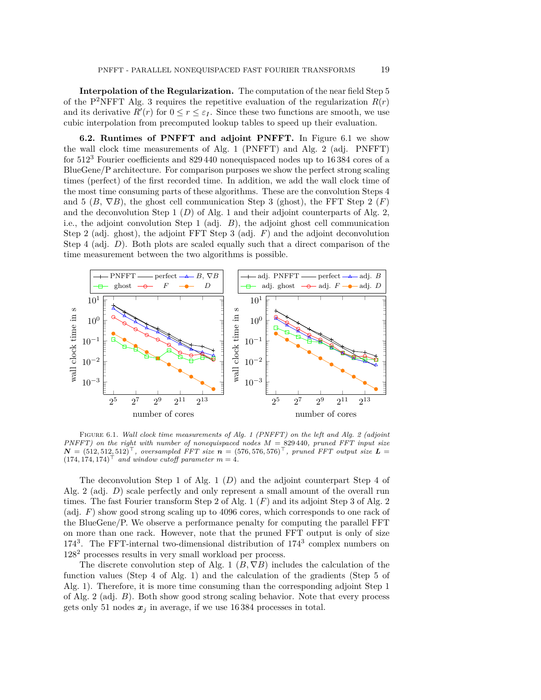**Interpolation of the Regularization.** The computation of the near field Step [5](#page-16-3) of the P<sup>2</sup>NFFT</sup> Alg. [3](#page-16-1) requires the repetitive evaluation of the regularization  $R(r)$ and its derivative  $R'(r)$  for  $0 \le r \le \varepsilon_I$ . Since these two functions are smooth, we use cubic interpolation from precomputed lookup tables to speed up their evaluation.

**6.2. Runtimes of PNFFT and adjoint PNFFT.** In Figure [6.1](#page-18-0) we show the wall clock time measurements of Alg. [1](#page-10-2) (PNFFT) and Alg. [2](#page-12-0) (adj. PNFFT) for 512<sup>3</sup> Fourier coefficients and 829 440 nonequispaced nodes up to 16 384 cores of a BlueGene/P architecture. For comparison purposes we show the perfect strong scaling times (perfect) of the first recorded time. In addition, we add the wall clock time of the most time consuming parts of these algorithms. These are the convolution Steps [4](#page-10-5) and [5](#page-10-6) (*B*,  $\nabla B$ ), the ghost cell communication Step [3](#page-10-7) (ghost), the FFT Step [2](#page-10-4) (*F*) and the deconvolution Step [1](#page-10-3) (*D*) of Alg. [1](#page-10-2) and their adjoint counterparts of Alg. [2,](#page-12-0) i.e., the adjoint convolution Step [1](#page-12-5) (adj. *B*), the adjoint ghost cell communication Step [2](#page-12-6) (adj. ghost), the adjoint FFT Step [3](#page-12-3) (adj. *F*) and the adjoint deconvolution Step [4](#page-12-4) (adj. *D*). Both plots are scaled equally such that a direct comparison of the time measurement between the two algorithms is possible.



<span id="page-18-0"></span>Figure 6.1. *Wall clock time measurements of Alg. [1](#page-10-2) (PNFFT) on the left and Alg. [2](#page-12-0) (adjoint PNFFT) on the right with number of nonequispaced nodes M* = 829 440*, pruned FFT input size*  $N = (512, 512, 512)^{\top}$ , oversampled FFT size  $n = (576, 576, 576)^{\top}$ , pruned FFT output size  $L =$  $(174, 174, 174)$ <sup>T</sup> and window cutoff parameter  $m = 4$ .

The deconvolution Step [1](#page-10-3) of Alg. [1](#page-10-2) (*D*) and the adjoint counterpart Step [4](#page-12-4) of Alg. [2](#page-12-0) (adj. *D*) scale perfectly and only represent a small amount of the overall run times. The fast Fourier transform Step [2](#page-10-4) of Alg. [1](#page-10-2) (*F*) and its adjoint Step [3](#page-12-3) of Alg. [2](#page-12-0) (adj. *F*) show good strong scaling up to 4096 cores, which corresponds to one rack of the BlueGene/P. We observe a performance penalty for computing the parallel FFT on more than one rack. However, note that the pruned FFT output is only of size 174<sup>3</sup>. The FFT-internal two-dimensional distribution of 174<sup>3</sup> complex numbers on 128<sup>2</sup> processes results in very small workload per process.

The discrete convolution step of Alg. [1](#page-10-2)  $(B, \nabla B)$  includes the calculation of the function values (Step [4](#page-10-5) of Alg. [1\)](#page-10-2) and the calculation of the gradients (Step [5](#page-10-6) of Alg. [1\)](#page-10-2). Therefore, it is more time consuming than the corresponding adjoint Step [1](#page-12-5) of Alg. [2](#page-12-0) (adj. *B*). Both show good strong scaling behavior. Note that every process gets only 51 nodes  $x_j$  in average, if we use 16384 processes in total.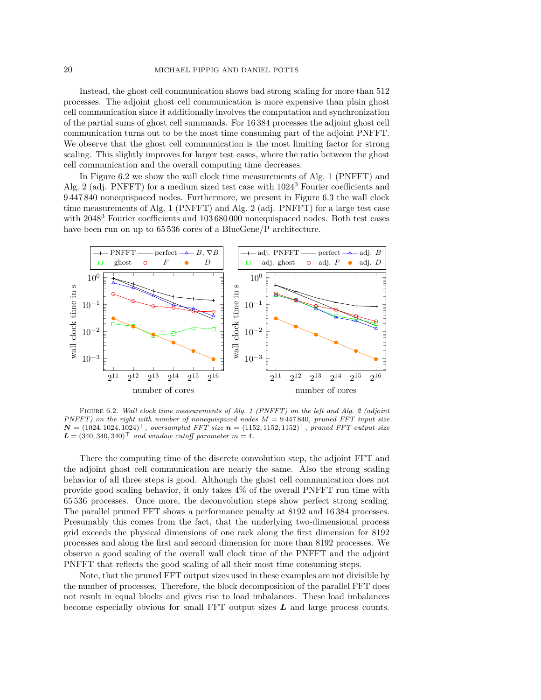Instead, the ghost cell communication shows bad strong scaling for more than 512 processes. The adjoint ghost cell communication is more expensive than plain ghost cell communication since it additionally involves the computation and synchronization of the partial sums of ghost cell summands. For 16 384 processes the adjoint ghost cell communication turns out to be the most time consuming part of the adjoint PNFFT. We observe that the ghost cell communication is the most limiting factor for strong scaling. This slightly improves for larger test cases, where the ratio between the ghost cell communication and the overall computing time decreases.

In Figure [6.2](#page-19-0) we show the wall clock time measurements of Alg. [1](#page-10-2) (PNFFT) and Alg. [2](#page-12-0) (adj. PNFFT) for a medium sized test case with  $1024<sup>3</sup>$  Fourier coefficients and 9 447 840 nonequispaced nodes. Furthermore, we present in Figure [6.3](#page-20-0) the wall clock time measurements of Alg. [1](#page-10-2) (PNFFT) and Alg. [2](#page-12-0) (adj. PNFFT) for a large test case with 2048<sup>3</sup> Fourier coefficients and 103 680 000 nonequispaced nodes. Both test cases have been run on up to 65 536 cores of a BlueGene/P architecture.



<span id="page-19-0"></span>Figure 6.2. *Wall clock time measurements of Alg. [1](#page-10-2) (PNFFT) on the left and Alg. [2](#page-12-0) (adjoint PNFFT) on the right with number of nonequispaced nodes M* = 9 447 840*, pruned FFT input size*  $N = (1024, 1024, 1024)^{\top}$ , oversampled FFT size  $n = (1152, 1152, 1152)^{\top}$ , pruned FFT output size  $L = (340, 340, 340)^{\top}$  and window cutoff parameter  $m = 4$ .

There the computing time of the discrete convolution step, the adjoint FFT and the adjoint ghost cell communication are nearly the same. Also the strong scaling behavior of all three steps is good. Although the ghost cell communication does not provide good scaling behavior, it only takes 4% of the overall PNFFT run time with 65 536 processes. Once more, the deconvolution steps show perfect strong scaling. The parallel pruned FFT shows a performance penalty at 8192 and 16 384 processes. Presumably this comes from the fact, that the underlying two-dimensional process grid exceeds the physical dimensions of one rack along the first dimension for 8192 processes and along the first and second dimension for more than 8192 processes. We observe a good scaling of the overall wall clock time of the PNFFT and the adjoint PNFFT that reflects the good scaling of all their most time consuming steps.

Note, that the pruned FFT output sizes used in these examples are not divisible by the number of processes. Therefore, the block decomposition of the parallel FFT does not result in equal blocks and gives rise to load imbalances. These load imbalances become especially obvious for small FFT output sizes *L* and large process counts.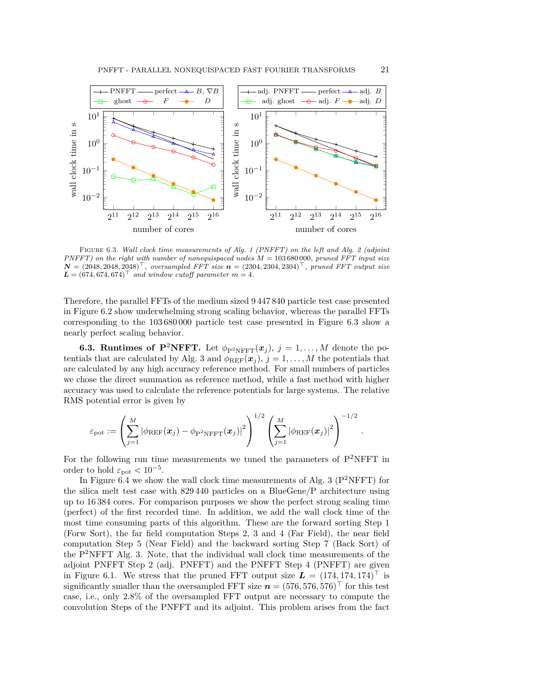

<span id="page-20-0"></span>Figure 6.3. *Wall clock time measurements of Alg. [1](#page-10-2) (PNFFT) on the left and Alg. [2](#page-12-0) (adjoint PNFFT) on the right with number of nonequispaced nodes M* = 103 680 000*, pruned FFT input size*  $N = (2048, 2048, 2048)^{\top}$ , oversampled FFT size  $n = (2304, 2304, 2304)^{\top}$ , pruned FFT output size  $L = (674, 674, 674)$ <sup>T</sup> and window cutoff parameter  $m = 4$ .

Therefore, the parallel FFTs of the medium sized 9 447 840 particle test case presented in Figure [6.2](#page-19-0) show underwhelming strong scaling behavior, whereas the parallel FFTs corresponding to the 103 680 000 particle test case presented in Figure [6.3](#page-20-0) show a nearly perfect scaling behavior.

**6.3. Runtimes of P<sup>2</sup>NFFT.** Let  $\phi_{\text{P}^2\text{NFFT}}(x_j)$ ,  $j = 1, ..., M$  denote the po-tentials that are calculated by Alg. [3](#page-16-1) and  $\phi_{REF}(\boldsymbol{x}_j)$ ,  $j=1,\ldots,M$  the potentials that are calculated by any high accuracy reference method. For small numbers of particles we chose the direct summation as reference method, while a fast method with higher accuracy was used to calculate the reference potentials for large systems. The relative RMS potential error is given by

$$
\varepsilon_{\text{pot}} := \left( \sum_{j=1}^M \left| \phi_{\text{REF}}(\boldsymbol{x}_j) - \phi_{\text{P}^2 \text{NFFT}}(\boldsymbol{x}_j) \right|^2 \right)^{1/2} \left( \sum_{j=1}^M \left| \phi_{\text{REF}}(\boldsymbol{x}_j) \right|^2 \right)^{-1/2} \,.
$$

For the following run time measurements we tuned the parameters of  $P^2NFFT$  in order to hold  $\varepsilon_{\text{pot}} < 10^{-5}$ .

In Figure [6.4](#page-21-0) we show the wall clock time measurements of Alg. [3](#page-16-1) ( $P^2NFFT$ ) for the silica melt test case with 829 440 particles on a BlueGene/P architecture using up to 16 384 cores. For comparison purposes we show the perfect strong scaling time (perfect) of the first recorded time. In addition, we add the wall clock time of the most time consuming parts of this algorithm. These are the forward sorting Step [1](#page-16-4) (Forw Sort), the far field computation Steps [2,](#page-16-5) [3](#page-16-2) and [4](#page-16-6) (Far Field), the near field computation Step [5](#page-16-3) (Near Field) and the backward sorting Step [7](#page-16-7) (Back Sort) of the  $P^2NFFT$  Alg. [3.](#page-16-1) Note, that the individual wall clock time measurements of the adjoint PNFFT Step [2](#page-16-5) (adj. PNFFT) and the PNFFT Step [4](#page-16-6) (PNFFT) are given in Figure [6.1.](#page-18-0) We stress that the pruned FFT output size  $\boldsymbol{L} = (174, 174, 174)^{\top}$  is significantly smaller than the oversampled FFT size  $n = (576, 576, 576)^{\top}$  for this test case, i.e., only 2*.*8% of the oversampled FFT output are necessary to compute the convolution Steps of the PNFFT and its adjoint. This problem arises from the fact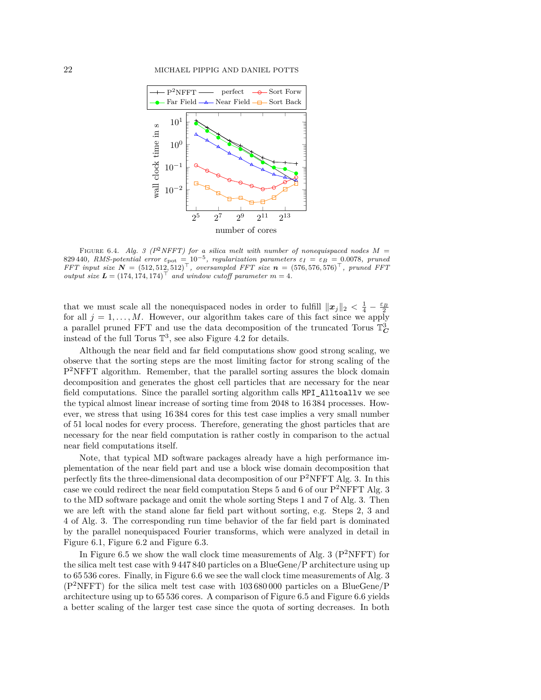

<span id="page-21-0"></span>FIGURE 6.4. *Alg.* [3](#page-16-1) ( $P^2NFFT$ ) for a silica melt with number of nonequispaced nodes  $M =$ 829 440, *RMS-potential error*  $\varepsilon_{pot} = 10^{-5}$ , *regularization parameters*  $\varepsilon_I = \varepsilon_B = 0.0078$ , *pruned FFT input size*  $N = (512, 512, 512)^\top$ , oversampled FFT size  $n = (576, 576, 576)^\top$ , pruned FFT *output size*  $L = (174, 174, 174)^\top$  *and window cutoff parameter*  $m = 4$ *.* 

that we must scale all the nonequispaced nodes in order to fulfill  $\|\boldsymbol{x}_j\|_2 < \frac{1}{4} - \frac{\varepsilon_B}{2}$ for all  $j = 1, \ldots, M$ . However, our algorithm takes care of this fact since we apply a parallel pruned FFT and use the data decomposition of the truncated Torus  $\mathbb{T}^3_C$ instead of the full Torus  $\mathbb{T}^3$ , see also Figure [4.2](#page-7-0) for details.

Although the near field and far field computations show good strong scaling, we observe that the sorting steps are the most limiting factor for strong scaling of the P<sup>2</sup>NFFT algorithm. Remember, that the parallel sorting assures the block domain decomposition and generates the ghost cell particles that are necessary for the near field computations. Since the parallel sorting algorithm calls MPI\_Alltoallv we see the typical almost linear increase of sorting time from 2048 to 16 384 processes. However, we stress that using 16 384 cores for this test case implies a very small number of 51 local nodes for every process. Therefore, generating the ghost particles that are necessary for the near field computation is rather costly in comparison to the actual near field computations itself.

Note, that typical MD software packages already have a high performance implementation of the near field part and use a block wise domain decomposition that perfectly fits the three-dimensional data decomposition of our  $P^2$ NFFT Alg. [3.](#page-16-1) In this case we could redirect the near field computation Steps [5](#page-16-3) and [6](#page-16-8) of our  $P^2NFFT\ Alg. 3$  $P^2NFFT\ Alg. 3$ to the MD software package and omit the whole sorting Steps [1](#page-16-4) and [7](#page-16-7) of Alg. [3.](#page-16-1) Then we are left with the stand alone far field part without sorting, e.g. Steps [2,](#page-16-5) [3](#page-16-2) and [4](#page-16-6) of Alg. [3.](#page-16-1) The corresponding run time behavior of the far field part is dominated by the parallel nonequispaced Fourier transforms, which were analyzed in detail in Figure [6.1,](#page-18-0) Figure [6.2](#page-19-0) and Figure [6.3.](#page-20-0)

In Figure [6.5](#page-22-1) we show the wall clock time measurements of Alg. [3](#page-16-1) ( $P^2NFFT$ ) for the silica melt test case with 9 447 840 particles on a BlueGene/P architecture using up to 65 536 cores. Finally, in Figure [6.6](#page-22-2) we see the wall clock time measurements of Alg. [3](#page-16-1)  $(P<sup>2</sup>NFFT)$  for the silica melt test case with 103 680 000 particles on a BlueGene/P architecture using up to 65 536 cores. A comparison of Figure [6.5](#page-22-1) and Figure [6.6](#page-22-2) yields a better scaling of the larger test case since the quota of sorting decreases. In both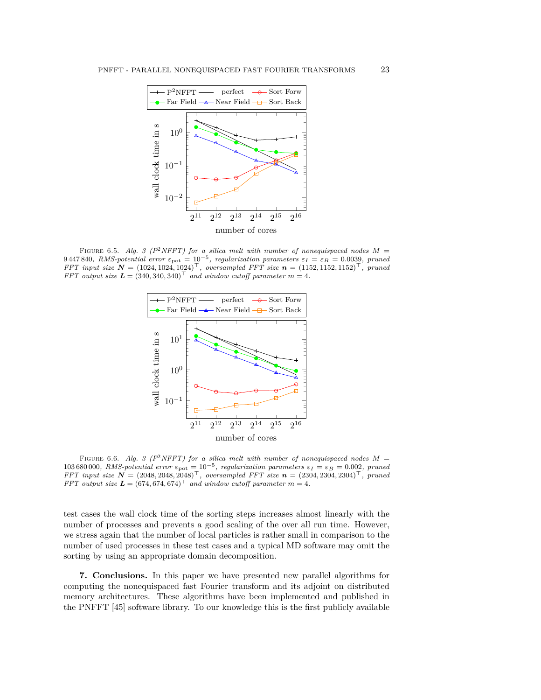

FIGURE 6.5. *Alg.* [3](#page-16-1) ( $P^2NFFT$ ) for a silica melt with number of nonequispaced nodes  $M =$  $9\,447\,840$ , RMS-potential error  $\varepsilon_{\rm pot} = 10^{-5}$ , regularization parameters  $\varepsilon_I = \varepsilon_B = 0.0039$ , pruned *FFT input size*  $N = (1024, 1024, 1024)^{\top}$ , oversampled FFT size  $n = (1152, 1152, 1152)^{\top}$ , pruned *FFT output size*  $L = (340, 340, 340)^{\top}$  and window cutoff parameter  $m = 4$ .

<span id="page-22-1"></span>

<span id="page-22-2"></span>FIGURE 6.6. *Alg.* [3](#page-16-1) ( $P^2NFFT$ ) for a silica melt with number of nonequispaced nodes  $M =$ 103 680 000, RMS-potential error  $\varepsilon_{\text{pot}} = 10^{-5}$ , regularization parameters  $\varepsilon_I = \varepsilon_B = 0.002$ , pruned *FFT input size*  $N = (2048, 2048, 2048)^{\top}$ , oversampled FFT size  $n = (2304, 2304, 2304)^{\top}$ , pruned *FFT output size*  $\boldsymbol{L} = (674, 674, 674)^{\top}$  *and window cutoff parameter*  $m = 4$ *.* 

test cases the wall clock time of the sorting steps increases almost linearly with the number of processes and prevents a good scaling of the over all run time. However, we stress again that the number of local particles is rather small in comparison to the number of used processes in these test cases and a typical MD software may omit the sorting by using an appropriate domain decomposition.

<span id="page-22-0"></span>**7. Conclusions.** In this paper we have presented new parallel algorithms for computing the nonequispaced fast Fourier transform and its adjoint on distributed memory architectures. These algorithms have been implemented and published in the PNFFT [\[45\]](#page-26-14) software library. To our knowledge this is the first publicly available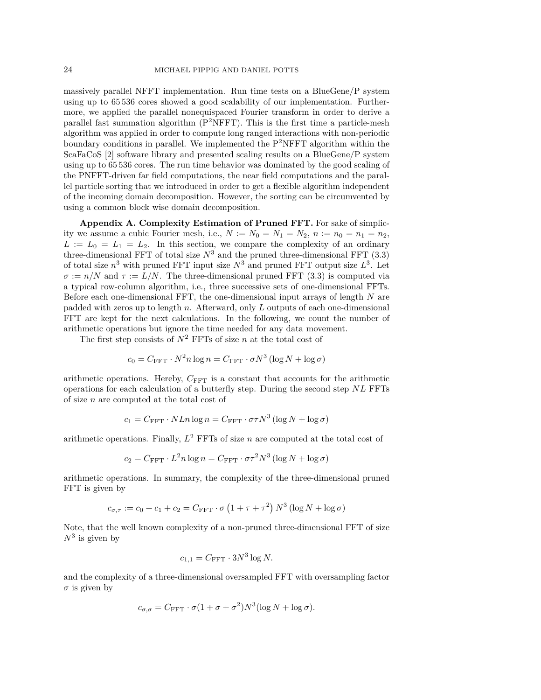massively parallel NFFT implementation. Run time tests on a BlueGene/P system using up to 65 536 cores showed a good scalability of our implementation. Furthermore, we applied the parallel nonequispaced Fourier transform in order to derive a parallel fast summation algorithm  $(P^2NFFT)$ . This is the first time a particle-mesh algorithm was applied in order to compute long ranged interactions with non-periodic boundary conditions in parallel. We implemented the  $P^2NFFT$  algorithm within the ScaFaCoS [\[2\]](#page-24-13) software library and presented scaling results on a BlueGene/P system using up to 65 536 cores. The run time behavior was dominated by the good scaling of the PNFFT-driven far field computations, the near field computations and the parallel particle sorting that we introduced in order to get a flexible algorithm independent of the incoming domain decomposition. However, the sorting can be circumvented by using a common block wise domain decomposition.

<span id="page-23-0"></span>**Appendix A. Complexity Estimation of Pruned FFT.** For sake of simplicity we assume a cubic Fourier mesh, i.e.,  $N := N_0 = N_1 = N_2$ ,  $n := n_0 = n_1 = n_2$ ,  $L := L_0 = L_1 = L_2$ . In this section, we compare the complexity of an ordinary three-dimensional FFT of total size  $N^3$  and the pruned three-dimensional FFT [\(3.3\)](#page-3-2) of total size  $n^3$  with pruned FFT input size  $N^3$  and pruned FFT output size  $L^3$ . Let  $\sigma := n/N$  and  $\tau := L/N$ . The three-dimensional pruned FFT [\(3.3\)](#page-3-2) is computed via a typical row-column algorithm, i.e., three successive sets of one-dimensional FFTs. Before each one-dimensional FFT, the one-dimensional input arrays of length *N* are padded with zeros up to length *n*. Afterward, only *L* outputs of each one-dimensional FFT are kept for the next calculations. In the following, we count the number of arithmetic operations but ignore the time needed for any data movement.

The first step consists of  $N^2$  FFTs of size *n* at the total cost of

$$
c_0 = C_{\text{FFT}} \cdot N^2 n \log n = C_{\text{FFT}} \cdot \sigma N^3 \left( \log N + \log \sigma \right)
$$

arithmetic operations. Hereby,  $C_{\text{FFT}}$  is a constant that accounts for the arithmetic operations for each calculation of a butterfly step. During the second step *NL* FFTs of size *n* are computed at the total cost of

$$
c_1 = C_{\rm FFT} \cdot N L n \log n = C_{\rm FFT} \cdot \sigma \tau N^3 \left( \log N + \log \sigma \right)
$$

arithmetic operations. Finally,  $L^2$  FFTs of size  $n$  are computed at the total cost of

$$
c_2 = C_{\text{FFT}} \cdot L^2 n \log n = C_{\text{FFT}} \cdot \sigma \tau^2 N^3 (\log N + \log \sigma)
$$

arithmetic operations. In summary, the complexity of the three-dimensional pruned FFT is given by

$$
c_{\sigma,\tau} := c_0 + c_1 + c_2 = C_{\text{FFT}} \cdot \sigma \left(1 + \tau + \tau^2\right) N^3 \left(\log N + \log \sigma\right)
$$

Note, that the well known complexity of a non-pruned three-dimensional FFT of size  $N^3$  is given by

$$
c_{1,1} = C_{\text{FFT}} \cdot 3N^3 \log N.
$$

and the complexity of a three-dimensional oversampled FFT with oversampling factor  $\sigma$  is given by

$$
c_{\sigma,\sigma} = C_{\text{FFT}} \cdot \sigma (1 + \sigma + \sigma^2) N^3 (\log N + \log \sigma).
$$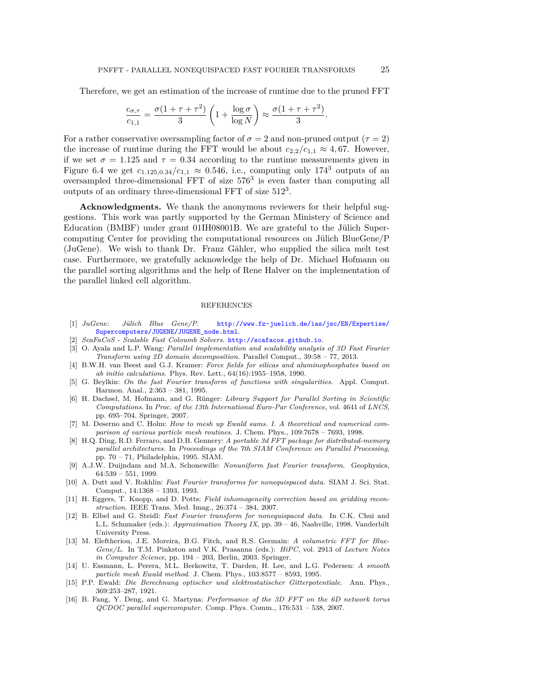Therefore, we get an estimation of the increase of runtime due to the pruned FFT

$$
\frac{c_{\sigma,\tau}}{c_{1,1}} = \frac{\sigma(1+\tau+\tau^2)}{3} \left(1 + \frac{\log \sigma}{\log N}\right) \approx \frac{\sigma(1+\tau+\tau^2)}{3}.
$$

For a rather conservative oversampling factor of  $\sigma = 2$  and non-pruned output ( $\tau = 2$ ) the increase of runtime during the FFT would be about  $c_{2,2}/c_{1,1} \approx 4,67$ . However, if we set  $\sigma = 1.125$  and  $\tau = 0.34$  according to the runtime measurements given in Figure [6.4](#page-21-0) we get  $c_{1.125,0.34}/c_{1,1} \approx 0.546$ , i.e., computing only 174<sup>3</sup> outputs of an oversampled three-dimensional FFT of size 576<sup>3</sup> is even faster than computing all outputs of an ordinary three-dimensional FFT of size  $512^3$ .

**Acknowledgments.** We thank the anonymous reviewers for their helpful suggestions. This work was partly supported by the German Ministery of Science and Education (BMBF) under grant 01IH08001B. We are grateful to the Jülich Supercomputing Center for providing the computational resources on Jülich BlueGene/P (JuGene). We wish to thank Dr. Franz Gähler, who supplied the silica melt test case. Furthermore, we gratefully acknowledge the help of Dr. Michael Hofmann on the parallel sorting algorithms and the help of Rene Halver on the implementation of the parallel linked cell algorithm.

## REFERENCES

- <span id="page-24-14"></span>[1] *JuGene: Jülich Blue Gene/P*. [http://www.fz-juelich.de/ias/jsc/EN/Expertise/](http://www.fz-juelich.de/ias/jsc/EN/Expertise/Supercomputers/JUGENE/JUGENE_node.html) [Supercomputers/JUGENE/JUGENE\\_node.html](http://www.fz-juelich.de/ias/jsc/EN/Expertise/Supercomputers/JUGENE/JUGENE_node.html).
- <span id="page-24-13"></span>[2] *ScaFaCoS - Scalable Fast Coloumb Solvers*. <http://scafacos.github.io>.
- <span id="page-24-6"></span>[3] O. Ayala and L.P. Wang: *Parallel implementation and scalability analysis of 3D Fast Fourier Transform using 2D domain decomposition*. Parallel Comput., 39:58 – 77, 2013.
- <span id="page-24-15"></span>[4] B.W.H. van Beest and G.J. Kramer: *Force fields for silicas and aluminophosphates based on ab initio calculations*. Phys. Rev. Lett., 64(16):1955–1958, 1990.
- <span id="page-24-1"></span>[5] G. Beylkin: *On the fast Fourier transform of functions with singularities*. Appl. Comput. Harmon. Anal., 2:363 – 381, 1995.
- <span id="page-24-10"></span>[6] H. Dachsel, M. Hofmann, and G. Rünger: *Library Support for Parallel Sorting in Scientific Computations*. In *Proc. of the 13th International Euro-Par Conference*, vol. 4641 of *LNCS*, pp. 695–704. Springer, 2007.
- <span id="page-24-11"></span>[7] M. Deserno and C. Holm: *How to mesh up Ewald sums. I. A theoretical and numerical comparison of various particle mesh routines*. J. Chem. Phys., 109:7678 – 7693, 1998.
- <span id="page-24-3"></span>[8] H.Q. Ding, R.D. Ferraro, and D.B. Gennery: *A portable 3d FFT package for distributed-memory parallel architectures*. In *Proceedings of the 7th SIAM Conference on Parallel Processing*, pp. 70 – 71, Philadelphia, 1995. SIAM.
- <span id="page-24-8"></span>[9] A.J.W. Duijndam and M.A. Schonewille: *Nonuniform fast Fourier transform*. Geophysics, 64:539 – 551, 1999.
- <span id="page-24-0"></span>[10] A. Dutt and V. Rokhlin: *Fast Fourier transforms for nonequispaced data*. SIAM J. Sci. Stat. Comput., 14:1368 – 1393, 1993.
- <span id="page-24-2"></span>[11] H. Eggers, T. Knopp, and D. Potts: *Field inhomogeneity correction based on gridding reconstruction*. IEEE Trans. Med. Imag., 26:374 – 384, 2007.
- <span id="page-24-9"></span>[12] B. Elbel and G. Steidl: *Fast Fourier transform for nonequispaced data*. In C.K. Chui and L.L. Schumaker (eds.): *Approximation Theory IX*, pp. 39 – 46, Nashville, 1998. Vanderbilt University Press.
- <span id="page-24-4"></span>[13] M. Eleftheriou, J.E. Moreira, B.G. Fitch, and R.S. Germain: *A volumetric FFT for Blue-Gene/L*. In T.M. Pinkston and V.K. Prasanna (eds.): *HiPC*, vol. 2913 of *Lecture Notes in Computer Science*, pp. 194 – 203, Berlin, 2003. Springer.
- <span id="page-24-7"></span>[14] U. Essmann, L. Perera, M.L. Berkowitz, T. Darden, H. Lee, and L.G. Pedersen: *A smooth particle mesh Ewald method*. J. Chem. Phys., 103:8577 – 8593, 1995.
- <span id="page-24-12"></span>[15] P.P. Ewald: *Die Berechnung optischer und elektrostatischer Gitterpotentiale*. Ann. Phys., 369:253–287, 1921.
- <span id="page-24-5"></span>[16] B. Fang, Y. Deng, and G. Martyna: *Performance of the 3D FFT on the 6D network torus QCDOC parallel supercomputer*. Comp. Phys. Comm., 176:531 – 538, 2007.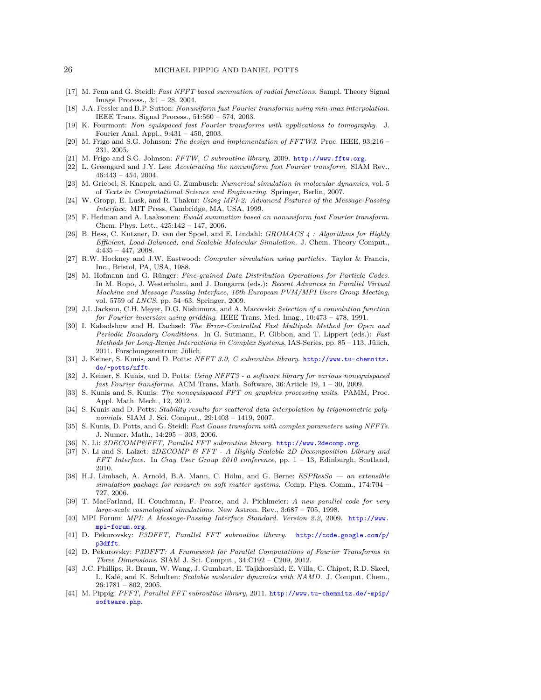- <span id="page-25-25"></span>[17] M. Fenn and G. Steidl: *Fast NFFT based summation of radial functions*. Sampl. Theory Signal Image Process., 3:1 – 28, 2004.
- <span id="page-25-2"></span>[18] J.A. Fessler and B.P. Sutton: *Nonuniform fast Fourier transforms using min-max interpolation*. IEEE Trans. Signal Process., 51:560 – 574, 2003.
- <span id="page-25-23"></span>[19] K. Fourmont: *Non equispaced fast Fourier transforms with applications to tomography*. J. Fourier Anal. Appl., 9:431 – 450, 2003.
- <span id="page-25-4"></span>[20] M. Frigo and S.G. Johnson: *The design and implementation of FFTW3*. Proc. IEEE, 93:216 – 231, 2005.
- <span id="page-25-5"></span>[21] M. Frigo and S.G. Johnson: *FFTW, C subroutine library*, 2009. <http://www.fftw.org>.
- <span id="page-25-0"></span>[22] L. Greengard and J.Y. Lee: *Accelerating the nonuniform fast Fourier transform*. SIAM Rev., 46:443 – 454, 2004.
- <span id="page-25-14"></span>[23] M. Griebel, S. Knapek, and G. Zumbusch: *Numerical simulation in molecular dynamics*, vol. 5 of *Texts in Computational Science and Engineering*. Springer, Berlin, 2007.
- <span id="page-25-24"></span>[24] W. Gropp, E. Lusk, and R. Thakur: *Using MPI-2: Advanced Features of the Message-Passing Interface*. MIT Press, Cambridge, MA, USA, 1999.
- <span id="page-25-3"></span>[25] F. Hedman and A. Laaksonen: *Ewald summation based on nonuniform fast Fourier transform*. Chem. Phys. Lett., 425:142 – 147, 2006.
- <span id="page-25-18"></span>[26] B. Hess, C. Kutzner, D. van der Spoel, and E. Lindahl: *GROMACS 4 : Algorithms for Highly Efficient, Load-Balanced, and Scalable Molecular Simulation*. J. Chem. Theory Comput., 4:435 – 447, 2008.
- <span id="page-25-27"></span>[27] R.W. Hockney and J.W. Eastwood: *Computer simulation using particles*. Taylor & Francis, Inc., Bristol, PA, USA, 1988.
- <span id="page-25-26"></span>[28] M. Hofmann and G. Rünger: *Fine-grained Data Distribution Operations for Particle Codes*. In M. Ropo, J. Westerholm, and J. Dongarra (eds.): *Recent Advances in Parallel Virtual Machine and Message Passing Interface, 16th European PVM/MPI Users Group Meeting*, vol. 5759 of *LNCS*, pp. 54–63. Springer, 2009.
- <span id="page-25-22"></span>[29] J.I. Jackson, C.H. Meyer, D.G. Nishimura, and A. Macovski: *Selection of a convolution function for Fourier inversion using gridding*. IEEE Trans. Med. Imag., 10:473 – 478, 1991.
- <span id="page-25-19"></span>[30] I. Kabadshow and H. Dachsel: *The Error-Controlled Fast Multipole Method for Open and Periodic Boundary Conditions*. In G. Sutmann, P. Gibbon, and T. Lippert (eds.): *Fast Methods for Long-Range Interactions in Complex Systems*, IAS-Series, pp. 85 – 113, Jülich, 2011. Forschungszentrum Jülich.
- <span id="page-25-11"></span>[31] J. Keiner, S. Kunis, and D. Potts: *NFFT 3.0, C subroutine library*. [http://www.tu-chemnitz.](http://www.tu-chemnitz.de/~potts/nfft) [de/~potts/nfft](http://www.tu-chemnitz.de/~potts/nfft).
- <span id="page-25-1"></span>[32] J. Keiner, S. Kunis, and D. Potts: *Using NFFT3 - a software library for various nonequispaced fast Fourier transforms*. ACM Trans. Math. Software, 36:Article 19, 1 – 30, 2009.
- <span id="page-25-12"></span>[33] S. Kunis and S. Kunis: *The nonequispaced FFT on graphics processing units*. PAMM, Proc. Appl. Math. Mech., 12, 2012.
- <span id="page-25-20"></span>[34] S. Kunis and D. Potts: *Stability results for scattered data interpolation by trigonometric polynomials*. SIAM J. Sci. Comput., 29:1403 – 1419, 2007.
- <span id="page-25-21"></span>[35] S. Kunis, D. Potts, and G. Steidl: *Fast Gauss transform with complex parameters using NFFTs*. J. Numer. Math., 14:295 – 303, 2006.
- <span id="page-25-9"></span>[36] N. Li: *2DECOMP&FFT, Parallel FFT subroutine library*. <http://www.2decomp.org>.
- <span id="page-25-8"></span>[37] N. Li and S. Laizet: *2DECOMP & FFT - A Highly Scalable 2D Decomposition Library and FFT Interface*. In *Cray User Group 2010 conference*, pp. 1 – 13, Edinburgh, Scotland, 2010.
- <span id="page-25-17"></span>[38] H.J. Limbach, A. Arnold, B.A. Mann, C. Holm, and G. Berne: *ESPResSo — an extensible simulation package for research on soft matter systems*. Comp. Phys. Comm., 174:704 – 727, 2006.
- <span id="page-25-15"></span>[39] T. MacFarland, H. Couchman, F. Pearce, and J. Pichlmeier: *A new parallel code for very large-scale cosmological simulations*. New Astron. Rev., 3:687 – 705, 1998.
- <span id="page-25-13"></span>[40] MPI Forum: *MPI: A Message-Passing Interface Standard. Version 2.2*, 2009. [http://www.](http://www.mpi-forum.org) [mpi-forum.org](http://www.mpi-forum.org).
- <span id="page-25-7"></span>[41] D. Pekurovsky: *P3DFFT, Parallel FFT subroutine library*. [http://code.google.com/p/](http://code.google.com/p/p3dfft) [p3dfft](http://code.google.com/p/p3dfft).
- <span id="page-25-6"></span>[42] D. Pekurovsky: *P3DFFT: A Framework for Parallel Computations of Fourier Transforms in Three Dimensions*. SIAM J. Sci. Comput., 34:C192 – C209, 2012.
- <span id="page-25-16"></span>[43] J.C. Phillips, R. Braun, W. Wang, J. Gumbart, E. Tajkhorshid, E. Villa, C. Chipot, R.D. Skeel, L. Kalé, and K. Schulten: *Scalable molecular dynamics with NAMD.* J. Comput. Chem., 26:1781 – 802, 2005.
- <span id="page-25-10"></span>[44] M. Pippig: *PFFT, Parallel FFT subroutine library*, 2011. [http://www.tu-chemnitz.de/~mpip/](http://www.tu-chemnitz.de/~mpip/software.php) [software.php](http://www.tu-chemnitz.de/~mpip/software.php).